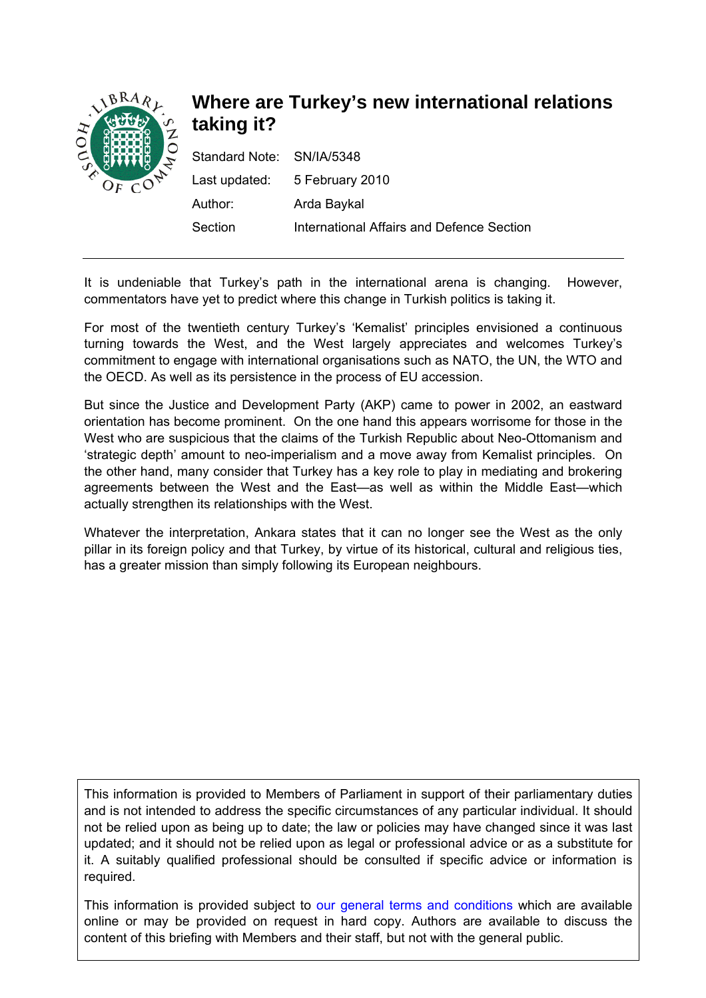

# **Where are Turkey's new international relations taking it?**

| Standard Note: SN/IA/5348 |                                           |
|---------------------------|-------------------------------------------|
|                           | Last updated: 5 February 2010             |
| Author:                   | Arda Baykal                               |
| Section                   | International Affairs and Defence Section |

It is undeniable that Turkey's path in the international arena is changing. However, commentators have yet to predict where this change in Turkish politics is taking it.

For most of the twentieth century Turkey's 'Kemalist' principles envisioned a continuous turning towards the West, and the West largely appreciates and welcomes Turkey's commitment to engage with international organisations such as NATO, the UN, the WTO and the OECD. As well as its persistence in the process of EU accession.

But since the Justice and Development Party (AKP) came to power in 2002, an eastward orientation has become prominent. On the one hand this appears worrisome for those in the West who are suspicious that the claims of the Turkish Republic about Neo-Ottomanism and 'strategic depth' amount to neo-imperialism and a move away from Kemalist principles. On the other hand, many consider that Turkey has a key role to play in mediating and brokering agreements between the West and the East—as well as within the Middle East—which actually strengthen its relationships with the West.

Whatever the interpretation, Ankara states that it can no longer see the West as the only pillar in its foreign policy and that Turkey, by virtue of its historical, cultural and religious ties, has a greater mission than simply following its European neighbours.

This information is provided to Members of Parliament in support of their parliamentary duties and is not intended to address the specific circumstances of any particular individual. It should not be relied upon as being up to date; the law or policies may have changed since it was last updated; and it should not be relied upon as legal or professional advice or as a substitute for it. A suitably qualified professional should be consulted if specific advice or information is required.

This information is provided subject to [our general terms and conditions](http://www.parliament.uk/site_information/parliamentary_copyright.cfm) which are available online or may be provided on request in hard copy. Authors are available to discuss the content of this briefing with Members and their staff, but not with the general public.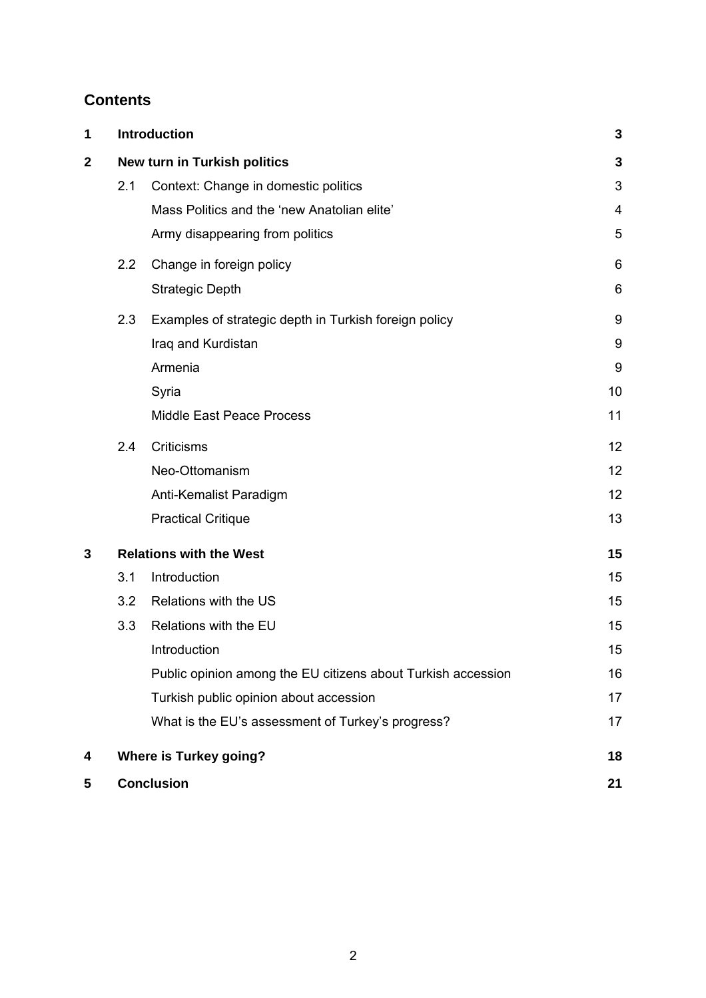# **Contents**

| 1                |                                | Introduction                                                 |    |
|------------------|--------------------------------|--------------------------------------------------------------|----|
| $\boldsymbol{2}$ | New turn in Turkish politics   |                                                              | 3  |
|                  | 2.1                            | Context: Change in domestic politics                         | 3  |
|                  |                                | Mass Politics and the 'new Anatolian elite'                  | 4  |
|                  |                                | Army disappearing from politics                              | 5  |
|                  | 2.2                            | Change in foreign policy                                     | 6  |
|                  |                                | <b>Strategic Depth</b>                                       | 6  |
|                  | 2.3                            | Examples of strategic depth in Turkish foreign policy        | 9  |
|                  |                                | Iraq and Kurdistan                                           | 9  |
|                  |                                | Armenia                                                      | 9  |
|                  |                                | Syria                                                        | 10 |
|                  |                                | Middle East Peace Process                                    | 11 |
|                  | 2.4                            | Criticisms                                                   | 12 |
|                  |                                | Neo-Ottomanism                                               | 12 |
|                  |                                | Anti-Kemalist Paradigm                                       | 12 |
|                  |                                | <b>Practical Critique</b>                                    | 13 |
| 3                | <b>Relations with the West</b> |                                                              | 15 |
|                  | 3.1                            | Introduction                                                 | 15 |
|                  | 3.2                            | Relations with the US                                        | 15 |
|                  | 3.3                            | Relations with the EU                                        | 15 |
|                  |                                | Introduction                                                 | 15 |
|                  |                                | Public opinion among the EU citizens about Turkish accession | 16 |
|                  |                                | Turkish public opinion about accession                       | 17 |
|                  |                                | What is the EU's assessment of Turkey's progress?            | 17 |
| 4                | <b>Where is Turkey going?</b>  |                                                              | 18 |
| 5                | <b>Conclusion</b>              |                                                              | 21 |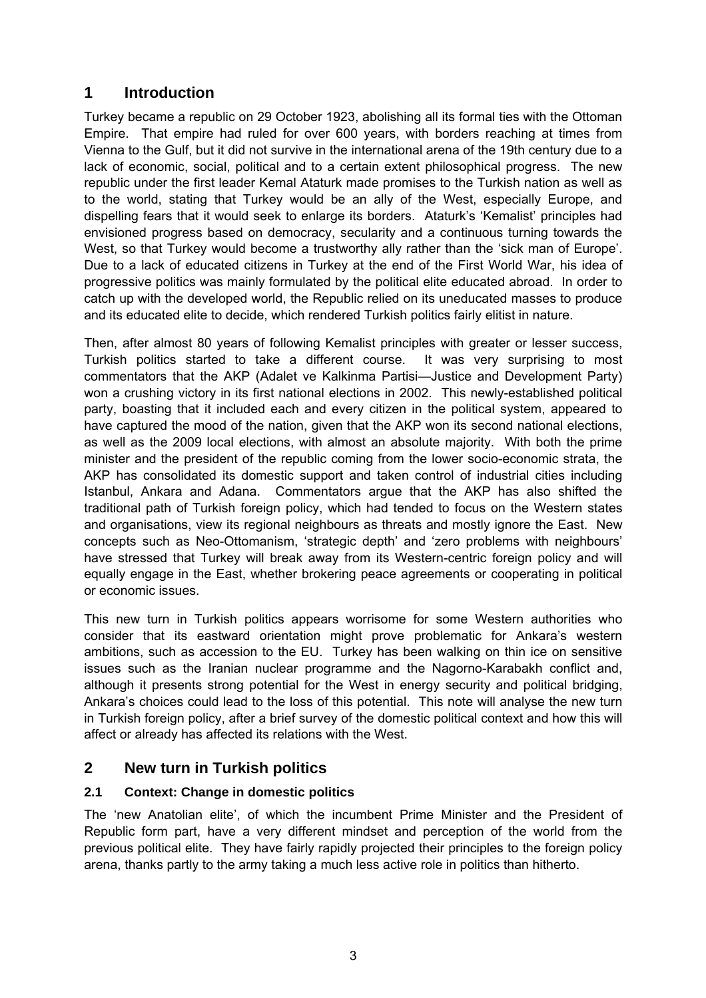# <span id="page-2-0"></span>**1 Introduction**

Turkey became a republic on 29 October 1923, abolishing all its formal ties with the Ottoman Empire. That empire had ruled for over 600 years, with borders reaching at times from Vienna to the Gulf, but it did not survive in the international arena of the 19th century due to a lack of economic, social, political and to a certain extent philosophical progress. The new republic under the first leader Kemal Ataturk made promises to the Turkish nation as well as to the world, stating that Turkey would be an ally of the West, especially Europe, and dispelling fears that it would seek to enlarge its borders. Ataturk's 'Kemalist' principles had envisioned progress based on democracy, secularity and a continuous turning towards the West, so that Turkey would become a trustworthy ally rather than the 'sick man of Europe'. Due to a lack of educated citizens in Turkey at the end of the First World War, his idea of progressive politics was mainly formulated by the political elite educated abroad. In order to catch up with the developed world, the Republic relied on its uneducated masses to produce and its educated elite to decide, which rendered Turkish politics fairly elitist in nature.

Then, after almost 80 years of following Kemalist principles with greater or lesser success, Turkish politics started to take a different course. It was very surprising to most commentators that the AKP (Adalet ve Kalkinma Partisi—Justice and Development Party) won a crushing victory in its first national elections in 2002. This newly-established political party, boasting that it included each and every citizen in the political system, appeared to have captured the mood of the nation, given that the AKP won its second national elections, as well as the 2009 local elections, with almost an absolute majority. With both the prime minister and the president of the republic coming from the lower socio-economic strata, the AKP has consolidated its domestic support and taken control of industrial cities including Istanbul, Ankara and Adana. Commentators argue that the AKP has also shifted the traditional path of Turkish foreign policy, which had tended to focus on the Western states and organisations, view its regional neighbours as threats and mostly ignore the East. New concepts such as Neo-Ottomanism, 'strategic depth' and 'zero problems with neighbours' have stressed that Turkey will break away from its Western-centric foreign policy and will equally engage in the East, whether brokering peace agreements or cooperating in political or economic issues.

This new turn in Turkish politics appears worrisome for some Western authorities who consider that its eastward orientation might prove problematic for Ankara's western ambitions, such as accession to the EU. Turkey has been walking on thin ice on sensitive issues such as the Iranian nuclear programme and the Nagorno-Karabakh conflict and, although it presents strong potential for the West in energy security and political bridging, Ankara's choices could lead to the loss of this potential. This note will analyse the new turn in Turkish foreign policy, after a brief survey of the domestic political context and how this will affect or already has affected its relations with the West.

# **2 New turn in Turkish politics**

# **2.1 Context: Change in domestic politics**

The 'new Anatolian elite', of which the incumbent Prime Minister and the President of Republic form part, have a very different mindset and perception of the world from the previous political elite. They have fairly rapidly projected their principles to the foreign policy arena, thanks partly to the army taking a much less active role in politics than hitherto.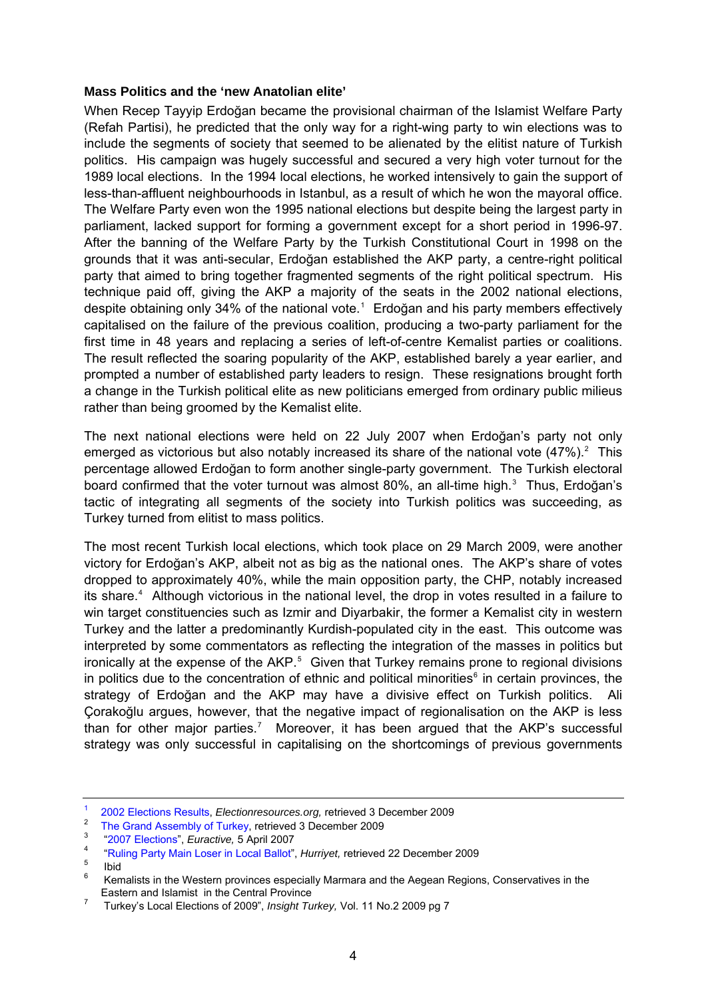#### <span id="page-3-0"></span>**Mass Politics and the 'new Anatolian elite'**

When Recep Tayyip Erdoğan became the provisional chairman of the Islamist Welfare Party (Refah Partisi), he predicted that the only way for a right-wing party to win elections was to include the segments of society that seemed to be alienated by the elitist nature of Turkish politics. His campaign was hugely successful and secured a very high voter turnout for the 1989 local elections. In the 1994 local elections, he worked intensively to gain the support of less-than-affluent neighbourhoods in Istanbul, as a result of which he won the mayoral office. The Welfare Party even won the 1995 national elections but despite being the largest party in parliament, lacked support for forming a government except for a short period in 1996-97. After the banning of the Welfare Party by the Turkish Constitutional Court in 1998 on the grounds that it was anti-secular, Erdoğan established the AKP party, a centre-right political party that aimed to bring together fragmented segments of the right political spectrum. His technique paid off, giving the AKP a majority of the seats in the 2002 national elections, despite obtaining only 34% of the national vote.<sup>[1](#page-3-1)</sup> Erdoğan and his party members effectively capitalised on the failure of the previous coalition, producing a two-party parliament for the first time in 48 years and replacing a series of left-of-centre Kemalist parties or coalitions. The result reflected the soaring popularity of the AKP, established barely a year earlier, and prompted a number of established party leaders to resign. These resignations brought forth a change in the Turkish political elite as new politicians emerged from ordinary public milieus rather than being groomed by the Kemalist elite.

The next national elections were held on 22 July 2007 when Erdoğan's party not only emerged as victorious but also notably increased its share of the national vote  $(47\%)$ . This percentage allowed Erdoğan to form another single-party government. The Turkish electoral board confirmed that the voter turnout was almost 80%, an all-time high.<sup>[3](#page-3-3)</sup> Thus, Erdoğan's tactic of integrating all segments of the society into Turkish politics was succeeding, as Turkey turned from elitist to mass politics.

The most recent Turkish local elections, which took place on 29 March 2009, were another victory for Erdoğan's AKP, albeit not as big as the national ones. The AKP's share of votes dropped to approximately 40%, while the main opposition party, the CHP, notably increased its share.<sup>[4](#page-3-4)</sup> Although victorious in the national level, the drop in votes resulted in a failure to win target constituencies such as Izmir and Diyarbakir, the former a Kemalist city in western Turkey and the latter a predominantly Kurdish-populated city in the east. This outcome was interpreted by some commentators as reflecting the integration of the masses in politics but ironically at the expense of the AKP.<sup>[5](#page-3-5)</sup> Given that Turkey remains prone to regional divisions in politics due to the concentration of ethnic and political minorities $<sup>6</sup>$  $<sup>6</sup>$  $<sup>6</sup>$  in certain provinces, the</sup> strategy of Erdoğan and the AKP may have a divisive effect on Turkish politics. Ali Çorakoğlu argues, however, that the negative impact of regionalisation on the AKP is less than for other major parties.<sup>[7](#page-3-7)</sup> Moreover, it has been argued that the AKP's successful strategy was only successful in capitalising on the shortcomings of previous governments

[<sup>1</sup>](http://electionresources.org/tr/assembly.php?election=2002)  [2002 Elections Results,](http://electionresources.org/tr/assembly.php?election=2002) *Electionresources.org,* retrieved 3 December 2009

<span id="page-3-2"></span><span id="page-3-1"></span><sup>2</sup> <sup>2</sup> [The Grand Assembly of Turkey,](http://www.tbmm.gov.tr/develop/owa/milletvekillerimiz_sd.dagilim) retrieved 3 December 2009

<span id="page-3-3"></span> <sup>&</sup>quot;2007 Elections", *Euractive,* 5 April 2007 4

<span id="page-3-4"></span><sup>&</sup>lt;sup>4</sup> "Ruling Party Main Loser in Local Ballot", *Hurriyet*, retrieved 22 December 2009

<span id="page-3-5"></span>Ibid

<span id="page-3-6"></span><sup>6</sup> Kemalists in the Western provinces especially Marmara and the Aegean Regions, Conservatives in the Eastern and Islamist in the Central Province  $\frac{7}{4}$ 

<span id="page-3-7"></span>Turkey's Local Elections of 2009", *Insight Turkey,* Vol. 11 No.2 2009 pg 7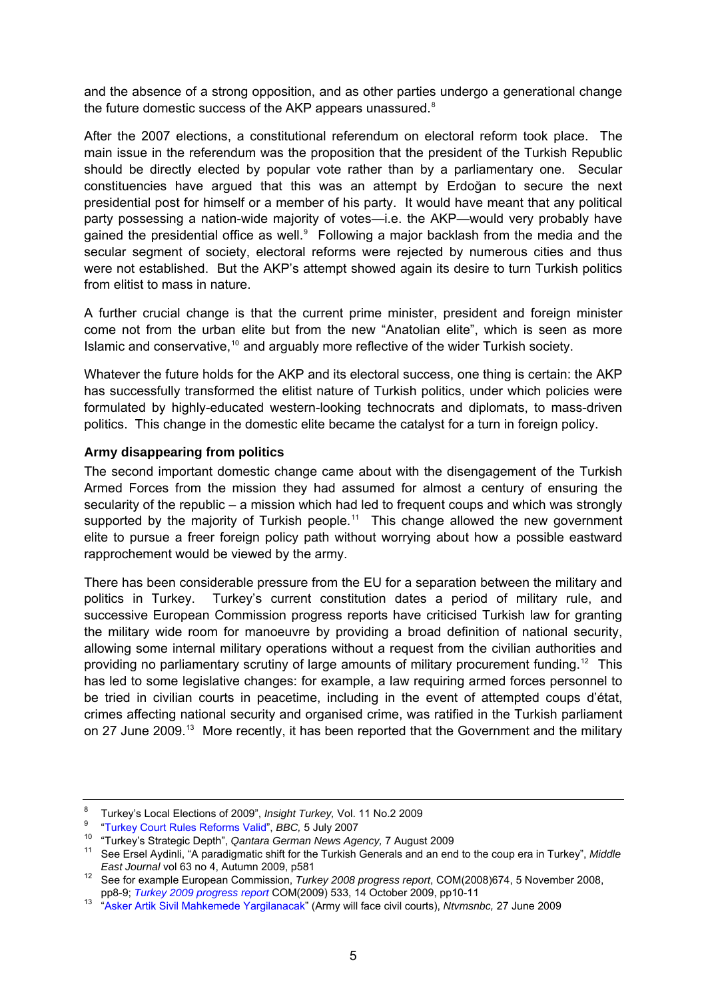<span id="page-4-0"></span>and the absence of a strong opposition, and as other parties undergo a generational change the future domestic success of the AKP appears unassured.<sup>[8](#page-4-1)</sup>

After the 2007 elections, a constitutional referendum on electoral reform took place. The main issue in the referendum was the proposition that the president of the Turkish Republic should be directly elected by popular vote rather than by a parliamentary one. Secular constituencies have argued that this was an attempt by Erdoğan to secure the next presidential post for himself or a member of his party. It would have meant that any political party possessing a nation-wide majority of votes—i.e. the AKP—would very probably have gained the presidential office as well. $9$  Following a major backlash from the media and the secular segment of society, electoral reforms were rejected by numerous cities and thus were not established. But the AKP's attempt showed again its desire to turn Turkish politics from elitist to mass in nature.

A further crucial change is that the current prime minister, president and foreign minister come not from the urban elite but from the new "Anatolian elite", which is seen as more Islamic and conservative,<sup>[10](#page-4-3)</sup> and arguably more reflective of the wider Turkish society.

Whatever the future holds for the AKP and its electoral success, one thing is certain: the AKP has successfully transformed the elitist nature of Turkish politics, under which policies were formulated by highly-educated western-looking technocrats and diplomats, to mass-driven politics. This change in the domestic elite became the catalyst for a turn in foreign policy.

#### **Army disappearing from politics**

The second important domestic change came about with the disengagement of the Turkish Armed Forces from the mission they had assumed for almost a century of ensuring the secularity of the republic – a mission which had led to frequent coups and which was strongly supported by the majority of Turkish people.<sup>[11](#page-4-4)</sup> This change allowed the new government elite to pursue a freer foreign policy path without worrying about how a possible eastward rapprochement would be viewed by the army.

There has been considerable pressure from the EU for a separation between the military and politics in Turkey. Turkey's current constitution dates a period of military rule, and successive European Commission progress reports have criticised Turkish law for granting the military wide room for manoeuvre by providing a broad definition of national security, allowing some internal military operations without a request from the civilian authorities and providing no parliamentary scrutiny of large amounts of military procurement funding.<sup>[12](#page-4-5)</sup> This has led to some legislative changes: for example, a law requiring armed forces personnel to be tried in civilian courts in peacetime, including in the event of attempted coups d'état, crimes affecting national security and organised crime, was ratified in the Turkish parliament on 27 June 2009.<sup>[13](#page-4-6)</sup> More recently, it has been reported that the Government and the military

<span id="page-4-2"></span><span id="page-4-1"></span><sup>8</sup> <sup>8</sup> Turkey's Local Elections of 2009", *Insight Turkey*, Vol. 11 No.2 2009<br><sup>9</sup> "Turkey Court Rules Reforms Valid", *BBC*, 5 July 2007

<span id="page-4-3"></span><sup>&</sup>lt;sup>10</sup> "Turkey's Strategic Depth", Qantara German News Agency, 7 August 2009<br><sup>11</sup> See Ersel Aydinli, "A paradigmatic shift for the Turkish Generals and an end to the coup era in Turkey", Middle

<span id="page-4-5"></span><span id="page-4-4"></span>*East Journal* vol 63 no 4, Autumn 2009, p581<br><sup>12</sup> See for example European Commission, *Turkey 2008 progress report*, COM(2008)674, 5 November 2008,<br>pp8-9; *Turkey 2009 progress report* COM(2009) 533, 14 October 2009, pp1

<span id="page-4-6"></span>pp8-9; *Turkey 2009 progress report* COM(2009) 533, 14 October 2009, pp10-11 13 ["Asker Artik Sivil Mahkemede Yargilanacak](http://www.ntvmsnbc.com.tr/id/24979177)" (Army will face civil courts), *Ntvmsnbc,* 27 June 2009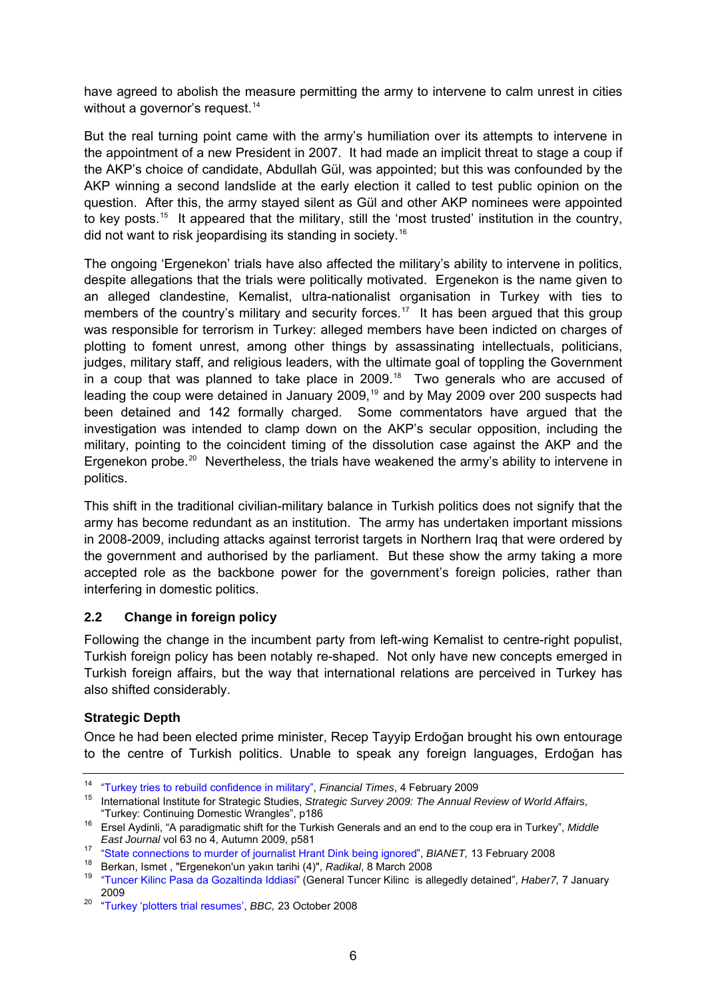<span id="page-5-0"></span>have agreed to abolish the measure permitting the army to intervene to calm unrest in cities without a governor's request.<sup>[14](#page-5-1)</sup>

But the real turning point came with the army's humiliation over its attempts to intervene in the appointment of a new President in 2007. It had made an implicit threat to stage a coup if the AKP's choice of candidate, Abdullah Gül, was appointed; but this was confounded by the AKP winning a second landslide at the early election it called to test public opinion on the question. After this, the army stayed silent as Gül and other AKP nominees were appointed to key posts.<sup>[15](#page-5-2)</sup> It appeared that the military, still the 'most trusted' institution in the country, did not want to risk jeopardising its standing in society.[16](#page-5-3)

The ongoing 'Ergenekon' trials have also affected the military's ability to intervene in politics, despite allegations that the trials were politically motivated. Ergenekon is the name given to an alleged clandestine, Kemalist, ultra-nationalist organisation in Turkey with ties to members of the country's military and security forces.<sup>[17](#page-5-4)</sup> It has been argued that this group was responsible for terrorism in Turkey: alleged members have been indicted on charges of plotting to foment unrest, among other things by assassinating intellectuals, politicians, judges, military staff, and religious leaders, with the ultimate goal of toppling the Government in a coup that was planned to take place in 2009.<sup>[18](#page-5-5)</sup> Two generals who are accused of leading the coup were detained in January 2009,<sup>[19](#page-5-6)</sup> and by May 2009 over 200 suspects had been detained and 142 formally charged. Some commentators have argued that the investigation was intended to clamp down on the AKP's secular opposition, including the military, pointing to the coincident timing of the dissolution case against the AKP and the Ergenekon probe.<sup>[20](#page-5-7)</sup> Nevertheless, the trials have weakened the army's ability to intervene in politics.

This shift in the traditional civilian-military balance in Turkish politics does not signify that the army has become redundant as an institution. The army has undertaken important missions in 2008-2009, including attacks against terrorist targets in Northern Iraq that were ordered by the government and authorised by the parliament. But these show the army taking a more accepted role as the backbone power for the government's foreign policies, rather than interfering in domestic politics.

### **2.2 Change in foreign policy**

Following the change in the incumbent party from left-wing Kemalist to centre-right populist, Turkish foreign policy has been notably re-shaped. Not only have new concepts emerged in Turkish foreign affairs, but the way that international relations are perceived in Turkey has also shifted considerably.

### **Strategic Depth**

Once he had been elected prime minister, Recep Tayyip Erdoğan brought his own entourage to the centre of Turkish politics. Unable to speak any foreign languages, Erdoğan has

<span id="page-5-1"></span><sup>&</sup>lt;sup>14</sup> ["Turkey tries to rebuild confidence in military"](http://www.ft.com/cms/s/0/435fcb0a-11c7-11df-b6e3-00144feab49a.html), *Financial Times*, 4 February 2009<br><sup>15</sup> International Institute for Strategic Studies, *Strategic Survey 2009: The Annual Review of World Affairs*,

<span id="page-5-3"></span><span id="page-5-2"></span><sup>&</sup>quot;Turkey: Continuing Domestic Wrangles", p186 16 Ersel Aydinli, "A paradigmatic shift for the Turkish Generals and an end to the coup era in Turkey", *Middle* 

<span id="page-5-4"></span><sup>&</sup>lt;sup>17</sup> ["State connections to murder of journalist Hrant Dink being ignored](http://www.ifex.org/turkey/2008/02/13/state_connections_to_murder_of)", BIANET, 13 February 2008<br><sup>18</sup> Berkan, Ismet, ["Ergenekon'un yakın tarihi \(4\)](http://www.radikal.com.tr/haber.php?haberno=252382)", *Radikal*, 8 March 2008

<span id="page-5-6"></span><span id="page-5-5"></span><sup>19</sup> ["Tuncer Kilinc Pasa da Gozaltinda Iddiasi"](http://www.haber7.com/haber/20090107/Tuncer-Kilinc-Pasa-da-gozaltinda-iddiasi.php) (General Tuncer Kilinc is allegedly detained", *Haber7,* 7 January 2009 20 ["Turkey 'plotters trial resumes',](http://news.bbc.co.uk/1/hi/world/europe/7685605.stm) *BBC,* 23 October 2008

<span id="page-5-7"></span>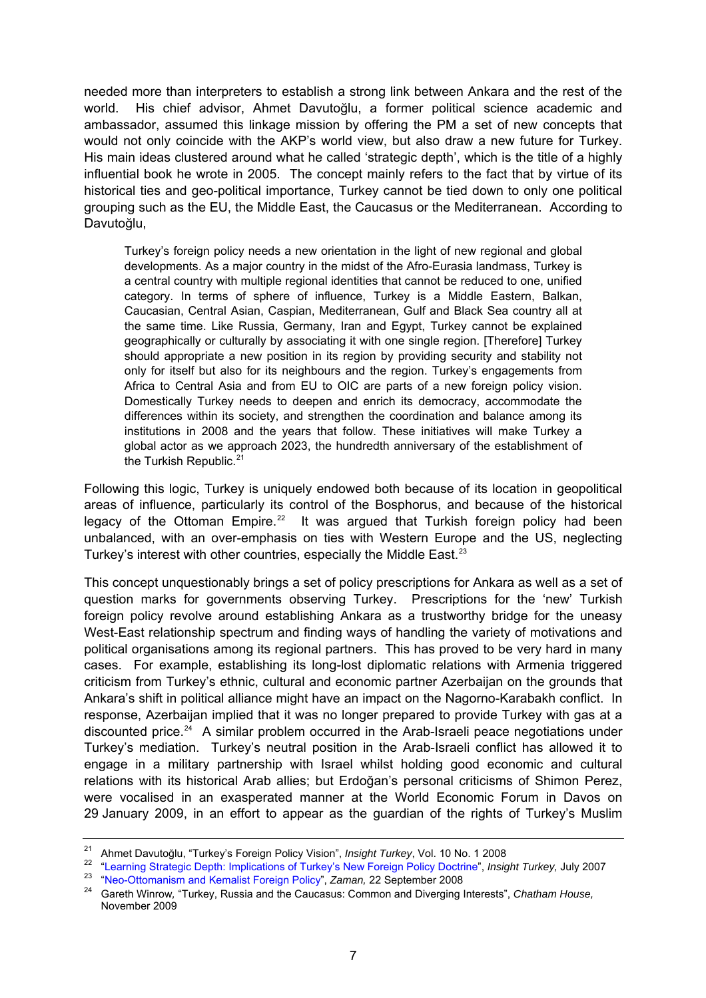needed more than interpreters to establish a strong link between Ankara and the rest of the world. His chief advisor, Ahmet Davutoğlu, a former political science academic and ambassador, assumed this linkage mission by offering the PM a set of new concepts that would not only coincide with the AKP's world view, but also draw a new future for Turkey. His main ideas clustered around what he called 'strategic depth', which is the title of a highly influential book he wrote in 2005. The concept mainly refers to the fact that by virtue of its historical ties and geo-political importance, Turkey cannot be tied down to only one political grouping such as the EU, the Middle East, the Caucasus or the Mediterranean. According to Davutoğlu,

Turkey's foreign policy needs a new orientation in the light of new regional and global developments. As a major country in the midst of the Afro-Eurasia landmass, Turkey is a central country with multiple regional identities that cannot be reduced to one, unified category. In terms of sphere of influence, Turkey is a Middle Eastern, Balkan, Caucasian, Central Asian, Caspian, Mediterranean, Gulf and Black Sea country all at the same time. Like Russia, Germany, Iran and Egypt, Turkey cannot be explained geographically or culturally by associating it with one single region. [Therefore] Turkey should appropriate a new position in its region by providing security and stability not only for itself but also for its neighbours and the region. Turkey's engagements from Africa to Central Asia and from EU to OIC are parts of a new foreign policy vision. Domestically Turkey needs to deepen and enrich its democracy, accommodate the differences within its society, and strengthen the coordination and balance among its institutions in 2008 and the years that follow. These initiatives will make Turkey a global actor as we approach 2023, the hundredth anniversary of the establishment of the Turkish Republic. $2<sup>1</sup>$ 

Following this logic, Turkey is uniquely endowed both because of its location in geopolitical areas of influence, particularly its control of the Bosphorus, and because of the historical legacy of the Ottoman Empire.<sup>[22](#page-6-1)</sup> It was argued that Turkish foreign policy had been unbalanced, with an over-emphasis on ties with Western Europe and the US, neglecting Turkey's interest with other countries, especially the Middle East.<sup>[23](#page-6-2)</sup>

This concept unquestionably brings a set of policy prescriptions for Ankara as well as a set of question marks for governments observing Turkey. Prescriptions for the 'new' Turkish foreign policy revolve around establishing Ankara as a trustworthy bridge for the uneasy West-East relationship spectrum and finding ways of handling the variety of motivations and political organisations among its regional partners. This has proved to be very hard in many cases. For example, establishing its long-lost diplomatic relations with Armenia triggered criticism from Turkey's ethnic, cultural and economic partner Azerbaijan on the grounds that Ankara's shift in political alliance might have an impact on the Nagorno-Karabakh conflict. In response, Azerbaijan implied that it was no longer prepared to provide Turkey with gas at a discounted price.<sup>[24](#page-6-3)</sup> A similar problem occurred in the Arab-Israeli peace negotiations under Turkey's mediation. Turkey's neutral position in the Arab-Israeli conflict has allowed it to engage in a military partnership with Israel whilst holding good economic and cultural relations with its historical Arab allies; but Erdoğan's personal criticisms of Shimon Perez, were vocalised in an exasperated manner at the World Economic Forum in Davos on 29 January 2009, in an effort to appear as the guardian of the rights of Turkey's Muslim

<span id="page-6-1"></span><span id="page-6-0"></span><sup>&</sup>lt;sup>21</sup> Ahmet Davutoğlu, "Turkey's Foreign Policy Vision", *Insight Turkey*, Vol. 10 No. 1 2008<br><sup>22</sup> ["Learning Strategic Depth: Implications of Turkey's New Foreign Policy Doctrine"](http://findarticles.com/p/articles/mi_7057/is_3_9/ai_n28498505), *Insight Turkey*, July 2007<br><sup>23</sup> "Neo-Otto

<span id="page-6-3"></span><span id="page-6-2"></span>November 2009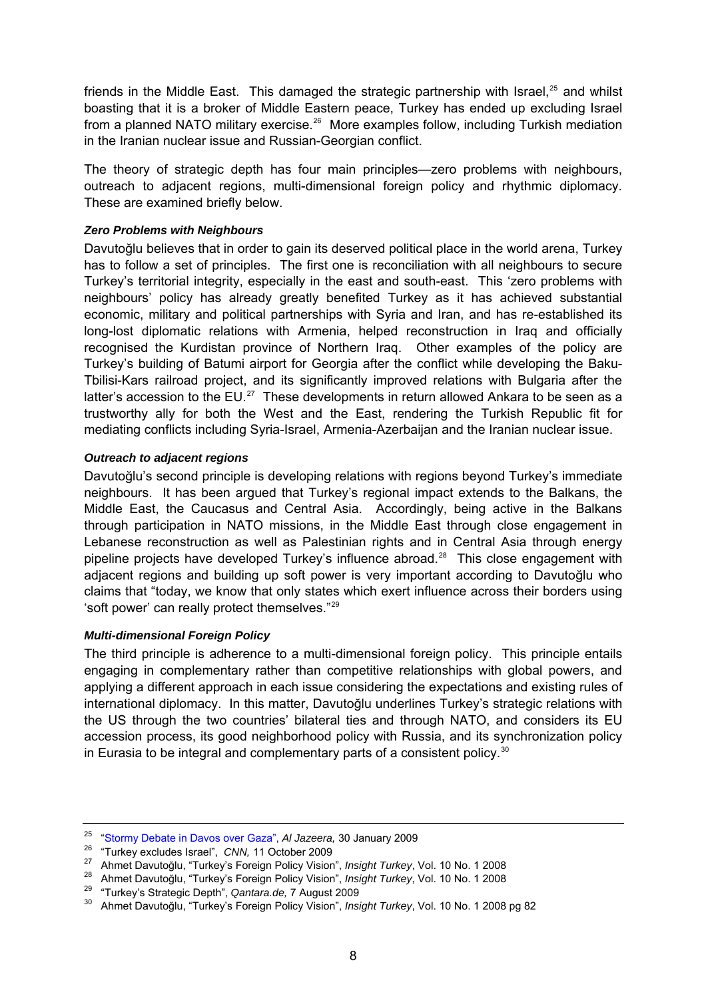friends in the Middle East. This damaged the strategic partnership with Israel,<sup>[25](#page-7-0)</sup> and whilst boasting that it is a broker of Middle Eastern peace, Turkey has ended up excluding Israel from a planned NATO military exercise.<sup>[26](#page-7-1)</sup> More examples follow, including Turkish mediation in the Iranian nuclear issue and Russian-Georgian conflict.

The theory of strategic depth has four main principles—zero problems with neighbours, outreach to adjacent regions, multi-dimensional foreign policy and rhythmic diplomacy. These are examined briefly below.

#### *Zero Problems with Neighbours*

Davutoğlu believes that in order to gain its deserved political place in the world arena, Turkey has to follow a set of principles. The first one is reconciliation with all neighbours to secure Turkey's territorial integrity, especially in the east and south-east. This 'zero problems with neighbours' policy has already greatly benefited Turkey as it has achieved substantial economic, military and political partnerships with Syria and Iran, and has re-established its long-lost diplomatic relations with Armenia, helped reconstruction in Iraq and officially recognised the Kurdistan province of Northern Iraq. Other examples of the policy are Turkey's building of Batumi airport for Georgia after the conflict while developing the Baku-Tbilisi-Kars railroad project, and its significantly improved relations with Bulgaria after the latter's accession to the EU.<sup>[27](#page-7-2)</sup> These developments in return allowed Ankara to be seen as a trustworthy ally for both the West and the East, rendering the Turkish Republic fit for mediating conflicts including Syria-Israel, Armenia-Azerbaijan and the Iranian nuclear issue.

#### *Outreach to adjacent regions*

Davutoğlu's second principle is developing relations with regions beyond Turkey's immediate neighbours. It has been argued that Turkey's regional impact extends to the Balkans, the Middle East, the Caucasus and Central Asia. Accordingly, being active in the Balkans through participation in NATO missions, in the Middle East through close engagement in Lebanese reconstruction as well as Palestinian rights and in Central Asia through energy pipeline projects have developed Turkey's influence abroad.<sup>[28](#page-7-3)</sup> This close engagement with adjacent regions and building up soft power is very important according to Davutoğlu who claims that "today, we know that only states which exert influence across their borders using 'soft power' can really protect themselves."[29](#page-7-4)

#### *Multi-dimensional Foreign Policy*

The third principle is adherence to a multi-dimensional foreign policy. This principle entails engaging in complementary rather than competitive relationships with global powers, and applying a different approach in each issue considering the expectations and existing rules of international diplomacy. In this matter, Davutoğlu underlines Turkey's strategic relations with the US through the two countries' bilateral ties and through NATO, and considers its EU accession process, its good neighborhood policy with Russia, and its synchronization policy in Eurasia to be integral and complementary parts of a consistent policy. $30$ 

<span id="page-7-2"></span><span id="page-7-1"></span>

<span id="page-7-0"></span><sup>&</sup>lt;sup>25</sup> ["Stormy Debate in Davos over Gaza",](http://english.aljazeera.net/news/europe/2009/01/20091291976879610.html) Al Jazeera, 30 January 2009<br><sup>26</sup> "Turkey excludes Israel", *CNN*, 11 October 2009<br><sup>27</sup> Ahmet Davutoğlu, "Turkey's Foreign Policy Vision", *Insight Turkey*, Vol. 10 No. 1 2008<br><sup>28</sup>

<span id="page-7-3"></span>

<span id="page-7-4"></span>

<span id="page-7-5"></span>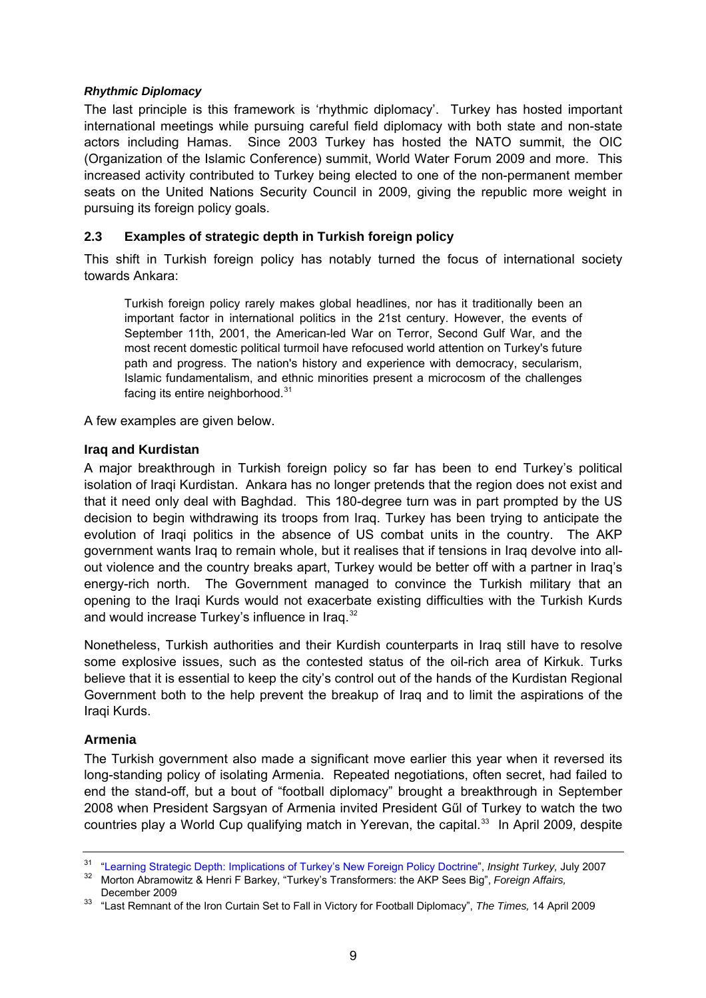#### <span id="page-8-0"></span>*Rhythmic Diplomacy*

The last principle is this framework is 'rhythmic diplomacy'. Turkey has hosted important international meetings while pursuing careful field diplomacy with both state and non-state actors including Hamas. Since 2003 Turkey has hosted the NATO summit, the OIC (Organization of the Islamic Conference) summit, World Water Forum 2009 and more. This increased activity contributed to Turkey being elected to one of the non-permanent member seats on the United Nations Security Council in 2009, giving the republic more weight in pursuing its foreign policy goals.

### **2.3 Examples of strategic depth in Turkish foreign policy**

This shift in Turkish foreign policy has notably turned the focus of international society towards Ankara:

Turkish foreign policy rarely makes global headlines, nor has it traditionally been an important factor in international politics in the 21st century. However, the events of September 11th, 2001, the American-led War on Terror, Second Gulf War, and the most recent domestic political turmoil have refocused world attention on Turkey's future path and progress. The nation's history and experience with democracy, secularism, Islamic fundamentalism, and ethnic minorities present a microcosm of the challenges facing its entire neighborhood. $31$ 

A few examples are given below.

#### **Iraq and Kurdistan**

A major breakthrough in Turkish foreign policy so far has been to end Turkey's political isolation of Iraqi Kurdistan. Ankara has no longer pretends that the region does not exist and that it need only deal with Baghdad. This 180-degree turn was in part prompted by the US decision to begin withdrawing its troops from Iraq. Turkey has been trying to anticipate the evolution of Iraqi politics in the absence of US combat units in the country. The AKP government wants Iraq to remain whole, but it realises that if tensions in Iraq devolve into allout violence and the country breaks apart, Turkey would be better off with a partner in Iraq's energy-rich north. The Government managed to convince the Turkish military that an opening to the Iraqi Kurds would not exacerbate existing difficulties with the Turkish Kurds and would increase Turkey's influence in Iraq.<sup>[32](#page-8-2)</sup>

Nonetheless, Turkish authorities and their Kurdish counterparts in Iraq still have to resolve some explosive issues, such as the contested status of the oil-rich area of Kirkuk. Turks believe that it is essential to keep the city's control out of the hands of the Kurdistan Regional Government both to the help prevent the breakup of Iraq and to limit the aspirations of the Iraqi Kurds.

#### **Armenia**

The Turkish government also made a significant move earlier this year when it reversed its long-standing policy of isolating Armenia. Repeated negotiations, often secret, had failed to end the stand-off, but a bout of "football diplomacy" brought a breakthrough in September 2008 when President Sargsyan of Armenia invited President Gűl of Turkey to watch the two countries play a World Cup qualifying match in Yerevan, the capital.<sup>[33](#page-8-3)</sup> In April 2009, despite

<span id="page-8-2"></span><span id="page-8-1"></span><sup>&</sup>lt;sup>31</sup> ["Learning Strategic Depth: Implications of Turkey's New Foreign Policy Doctrine"](http://findarticles.com/p/articles/mi_7057/is_3_9/ai_n28498505), *Insight Turkey*, July 2007<br><sup>32</sup> Morton Abramowitz & Henri F Barkey, "Turkey's Transformers: the AKP Sees Big", *Foreign Affairs*,<br>Dece

<span id="page-8-3"></span><sup>&</sup>lt;sup>33</sup> "Last Remnant of the Iron Curtain Set to Fall in Victory for Football Diplomacy", The Times, 14 April 2009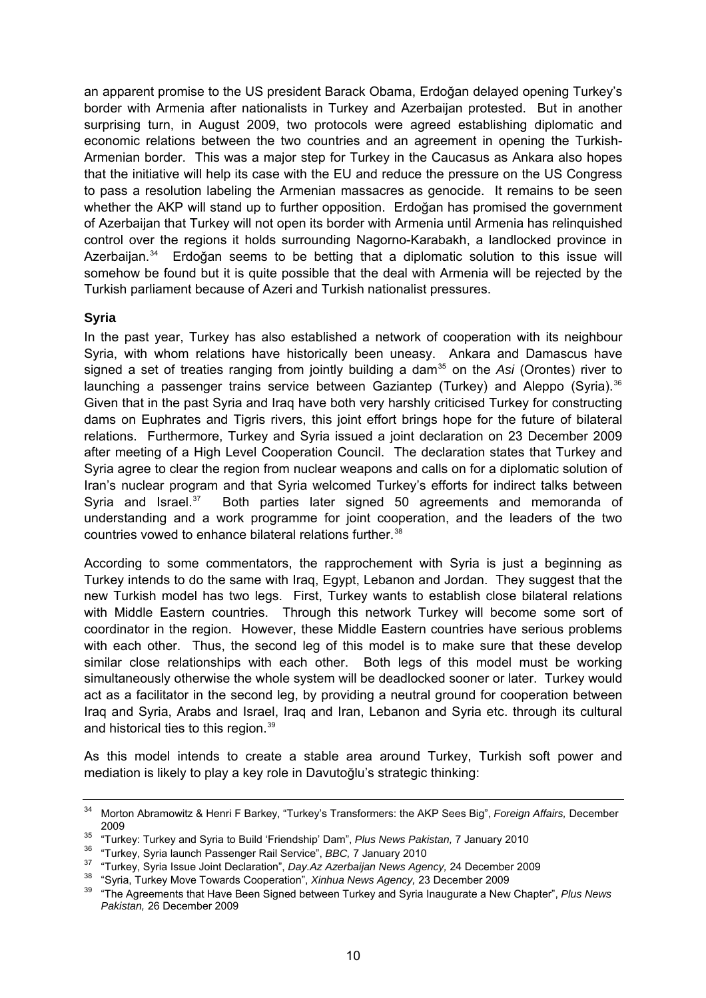<span id="page-9-0"></span>an apparent promise to the US president Barack Obama, Erdoğan delayed opening Turkey's border with Armenia after nationalists in Turkey and Azerbaijan protested. But in another surprising turn, in August 2009, two protocols were agreed establishing diplomatic and economic relations between the two countries and an agreement in opening the Turkish-Armenian border. This was a major step for Turkey in the Caucasus as Ankara also hopes that the initiative will help its case with the EU and reduce the pressure on the US Congress to pass a resolution labeling the Armenian massacres as genocide. It remains to be seen whether the AKP will stand up to further opposition. Erdoğan has promised the government of Azerbaijan that Turkey will not open its border with Armenia until Armenia has relinquished control over the regions it holds surrounding Nagorno-Karabakh, a landlocked province in Azerbaijan.<sup>[34](#page-9-1)</sup> Erdoğan seems to be betting that a diplomatic solution to this issue will somehow be found but it is quite possible that the deal with Armenia will be rejected by the Turkish parliament because of Azeri and Turkish nationalist pressures.

#### **Syria**

In the past year, Turkey has also established a network of cooperation with its neighbour Syria, with whom relations have historically been uneasy. Ankara and Damascus have signed a set of treaties ranging from jointly building a dam<sup>[35](#page-9-2)</sup> on the *Asi* (Orontes) river to launching a passenger trains service between Gaziantep (Turkey) and Aleppo (Syria).<sup>[36](#page-9-3)</sup> Given that in the past Syria and Iraq have both very harshly criticised Turkey for constructing dams on Euphrates and Tigris rivers, this joint effort brings hope for the future of bilateral relations. Furthermore, Turkey and Syria issued a joint declaration on 23 December 2009 after meeting of a High Level Cooperation Council. The declaration states that Turkey and Syria agree to clear the region from nuclear weapons and calls on for a diplomatic solution of Iran's nuclear program and that Syria welcomed Turkey's efforts for indirect talks between Syria and Israel. $37$  Both parties later signed 50 agreements and memoranda of understanding and a work programme for joint cooperation, and the leaders of the two countries vowed to enhance bilateral relations further.<sup>[38](#page-9-5)</sup>

According to some commentators, the rapprochement with Syria is just a beginning as Turkey intends to do the same with Iraq, Egypt, Lebanon and Jordan. They suggest that the new Turkish model has two legs. First, Turkey wants to establish close bilateral relations with Middle Eastern countries. Through this network Turkey will become some sort of coordinator in the region. However, these Middle Eastern countries have serious problems with each other. Thus, the second leg of this model is to make sure that these develop similar close relationships with each other. Both legs of this model must be working simultaneously otherwise the whole system will be deadlocked sooner or later. Turkey would act as a facilitator in the second leg, by providing a neutral ground for cooperation between Iraq and Syria, Arabs and Israel, Iraq and Iran, Lebanon and Syria etc. through its cultural and historical ties to this region.<sup>[39](#page-9-6)</sup>

As this model intends to create a stable area around Turkey, Turkish soft power and mediation is likely to play a key role in Davutoğlu's strategic thinking:

<span id="page-9-1"></span><sup>34</sup> Morton Abramowitz & Henri F Barkey, "Turkey's Transformers: the AKP Sees Big", *Foreign Affairs,* December 2009<br>
<sup>35</sup> "Turkey: Turkey and Syria to Build 'Friendship' Dam", *Plus News Pakistan,* 7 January 2010<br>
<sup>36</sup> "Turkey, Syria launch Passenger Rail Service", *BBC,* 7 January 2010<br>
<sup>37</sup> "Turkey, Syria Issue Joint Declaration"

<span id="page-9-2"></span>

<span id="page-9-3"></span>

<span id="page-9-4"></span>

<span id="page-9-5"></span>

<span id="page-9-6"></span>*Pakistan,* 26 December 2009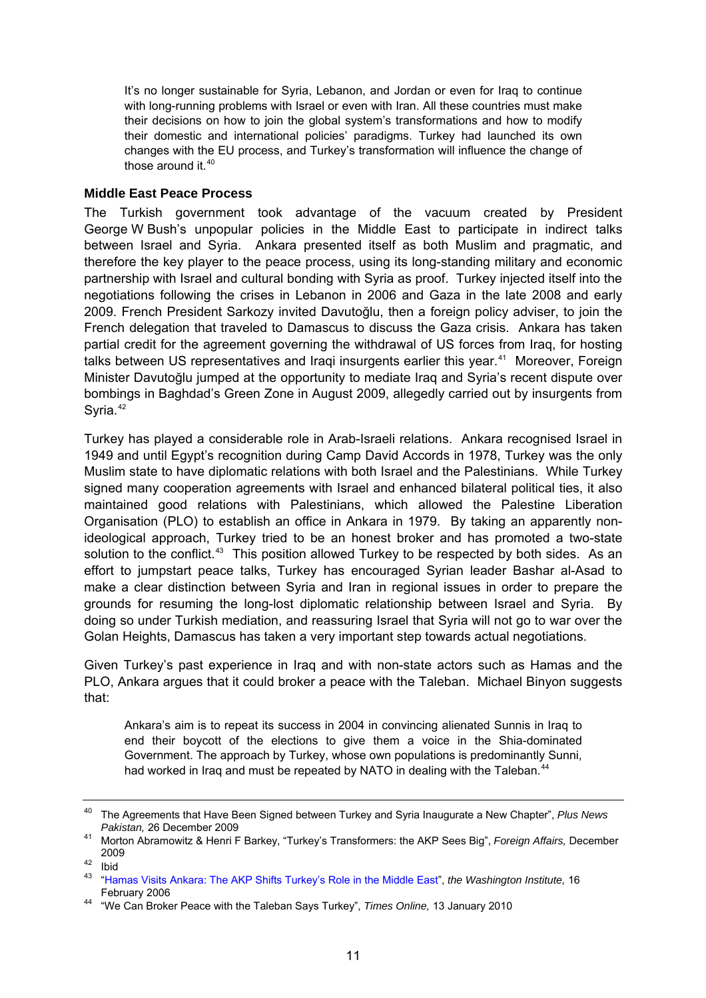<span id="page-10-0"></span>It's no longer sustainable for Syria, Lebanon, and Jordan or even for Iraq to continue with long-running problems with Israel or even with Iran. All these countries must make their decisions on how to join the global system's transformations and how to modify their domestic and international policies' paradigms. Turkey had launched its own changes with the EU process, and Turkey's transformation will influence the change of those around it.<sup>[40](#page-10-1)</sup>

#### **Middle East Peace Process**

The Turkish government took advantage of the vacuum created by President George W Bush's unpopular policies in the Middle East to participate in indirect talks between Israel and Syria. Ankara presented itself as both Muslim and pragmatic, and therefore the key player to the peace process, using its long-standing military and economic partnership with Israel and cultural bonding with Syria as proof. Turkey injected itself into the negotiations following the crises in Lebanon in 2006 and Gaza in the late 2008 and early 2009. French President Sarkozy invited Davutoğlu, then a foreign policy adviser, to join the French delegation that traveled to Damascus to discuss the Gaza crisis. Ankara has taken partial credit for the agreement governing the withdrawal of US forces from Iraq, for hosting talks between US representatives and Iragi insurgents earlier this year.<sup>[41](#page-10-2)</sup> Moreover, Foreign Minister Davutoğlu jumped at the opportunity to mediate Iraq and Syria's recent dispute over bombings in Baghdad's Green Zone in August 2009, allegedly carried out by insurgents from Syria.<sup>[42](#page-10-3)</sup>

Turkey has played a considerable role in Arab-Israeli relations. Ankara recognised Israel in 1949 and until Egypt's recognition during Camp David Accords in 1978, Turkey was the only Muslim state to have diplomatic relations with both Israel and the Palestinians. While Turkey signed many cooperation agreements with Israel and enhanced bilateral political ties, it also maintained good relations with Palestinians, which allowed the Palestine Liberation Organisation (PLO) to establish an office in Ankara in 1979. By taking an apparently nonideological approach, Turkey tried to be an honest broker and has promoted a two-state solution to the conflict.<sup>[43](#page-10-4)</sup> This position allowed Turkey to be respected by both sides. As an effort to jumpstart peace talks, Turkey has encouraged Syrian leader Bashar al-Asad to make a clear distinction between Syria and Iran in regional issues in order to prepare the grounds for resuming the long-lost diplomatic relationship between Israel and Syria. By doing so under Turkish mediation, and reassuring Israel that Syria will not go to war over the Golan Heights, Damascus has taken a very important step towards actual negotiations.

Given Turkey's past experience in Iraq and with non-state actors such as Hamas and the PLO, Ankara argues that it could broker a peace with the Taleban. Michael Binyon suggests that:

Ankara's aim is to repeat its success in 2004 in convincing alienated Sunnis in Iraq to end their boycott of the elections to give them a voice in the Shia-dominated Government. The approach by Turkey, whose own populations is predominantly Sunni, had worked in Iraq and must be repeated by NATO in dealing with the Taleban.<sup>[44](#page-10-5)</sup>

<span id="page-10-1"></span><sup>40</sup> The Agreements that Have Been Signed between Turkey and Syria Inaugurate a New Chapter", *Plus News Pakistan,* 26 December 2009 41 Morton Abramowitz & Henri F Barkey, "Turkey's Transformers: the AKP Sees Big", *Foreign Affairs,* December

<span id="page-10-2"></span><sup>2009 42</sup> Ibid

<span id="page-10-4"></span><span id="page-10-3"></span><sup>43</sup> ["Hamas Visits Ankara: The AKP Shifts Turkey's Role in the Middle East](http://www.washingtoninstitute.org/templateC05.php?CID=2445)", *the Washington Institute,* 16

<span id="page-10-5"></span>February 2006 44 "We Can Broker Peace with the Taleban Says Turkey", *Times Online,* 13 January 2010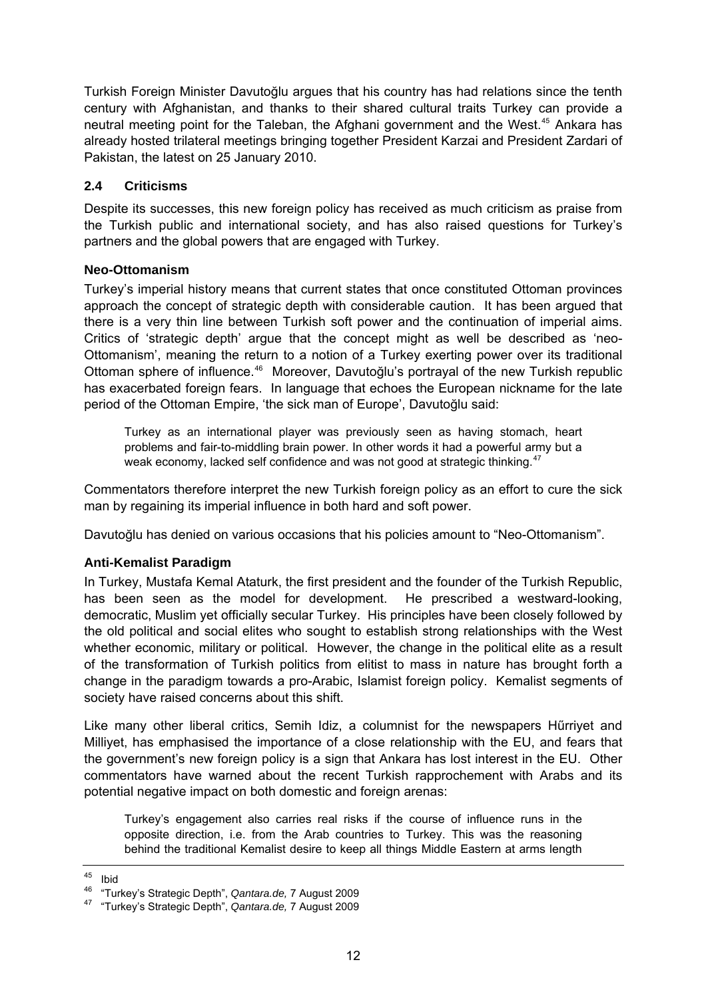<span id="page-11-0"></span>Turkish Foreign Minister Davutoğlu argues that his country has had relations since the tenth century with Afghanistan, and thanks to their shared cultural traits Turkey can provide a neutral meeting point for the Taleban, the Afghani government and the West.<sup>[45](#page-11-1)</sup> Ankara has already hosted trilateral meetings bringing together President Karzai and President Zardari of Pakistan, the latest on 25 January 2010.

### **2.4 Criticisms**

Despite its successes, this new foreign policy has received as much criticism as praise from the Turkish public and international society, and has also raised questions for Turkey's partners and the global powers that are engaged with Turkey.

#### **Neo-Ottomanism**

Turkey's imperial history means that current states that once constituted Ottoman provinces approach the concept of strategic depth with considerable caution. It has been argued that there is a very thin line between Turkish soft power and the continuation of imperial aims. Critics of 'strategic depth' argue that the concept might as well be described as 'neo-Ottomanism', meaning the return to a notion of a Turkey exerting power over its traditional Ottoman sphere of influence.<sup>[46](#page-11-2)</sup> Moreover, Davutoğlu's portrayal of the new Turkish republic has exacerbated foreign fears. In language that echoes the European nickname for the late period of the Ottoman Empire, 'the sick man of Europe', Davutoğlu said:

Turkey as an international player was previously seen as having stomach, heart problems and fair-to-middling brain power. In other words it had a powerful army but a weak economy, lacked self confidence and was not good at strategic thinking.<sup>[47](#page-11-3)</sup>

Commentators therefore interpret the new Turkish foreign policy as an effort to cure the sick man by regaining its imperial influence in both hard and soft power.

Davutoğlu has denied on various occasions that his policies amount to "Neo-Ottomanism".

### **Anti-Kemalist Paradigm**

In Turkey, Mustafa Kemal Ataturk, the first president and the founder of the Turkish Republic, has been seen as the model for development. He prescribed a westward-looking, democratic, Muslim yet officially secular Turkey. His principles have been closely followed by the old political and social elites who sought to establish strong relationships with the West whether economic, military or political. However, the change in the political elite as a result of the transformation of Turkish politics from elitist to mass in nature has brought forth a change in the paradigm towards a pro-Arabic, Islamist foreign policy. Kemalist segments of society have raised concerns about this shift.

Like many other liberal critics, Semih Idiz, a columnist for the newspapers Hűrriyet and Milliyet, has emphasised the importance of a close relationship with the EU, and fears that the government's new foreign policy is a sign that Ankara has lost interest in the EU. Other commentators have warned about the recent Turkish rapprochement with Arabs and its potential negative impact on both domestic and foreign arenas:

Turkey's engagement also carries real risks if the course of influence runs in the opposite direction, i.e. from the Arab countries to Turkey. This was the reasoning behind the traditional Kemalist desire to keep all things Middle Eastern at arms length

<span id="page-11-1"></span> $45$  Ihid

<span id="page-11-2"></span><sup>46 &</sup>quot;Turkey's Strategic Depth", *Qantara.de,* 7 August 2009 47 "Turkey's Strategic Depth", *Qantara.de,* 7 August 2009

<span id="page-11-3"></span>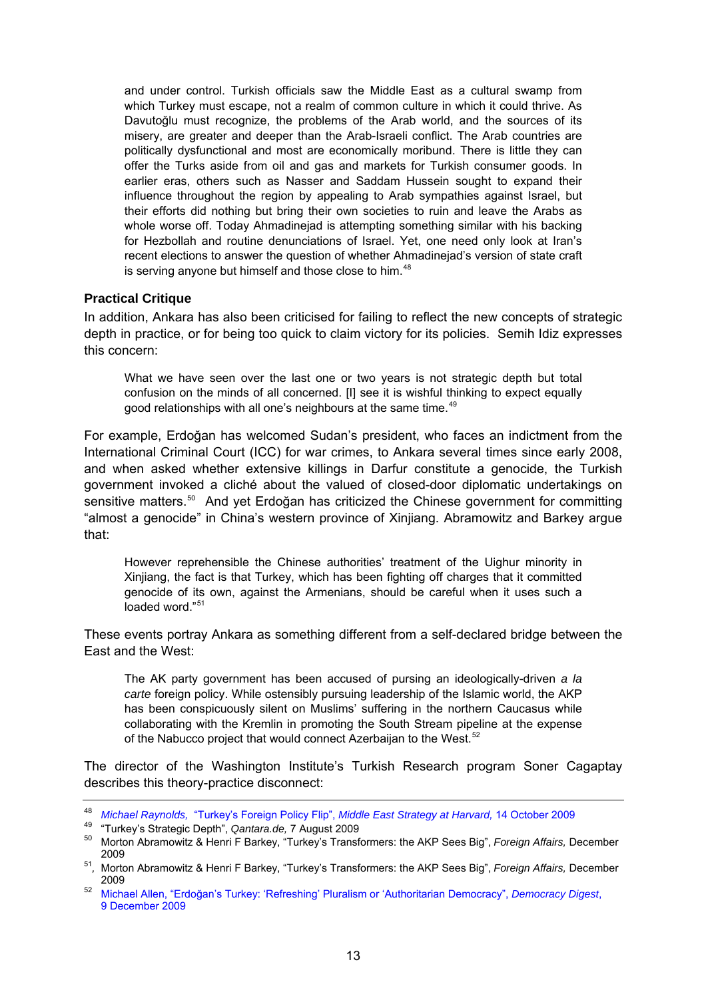<span id="page-12-0"></span>and under control. Turkish officials saw the Middle East as a cultural swamp from which Turkey must escape, not a realm of common culture in which it could thrive. As Davutoğlu must recognize, the problems of the Arab world, and the sources of its misery, are greater and deeper than the Arab-Israeli conflict. The Arab countries are politically dysfunctional and most are economically moribund. There is little they can offer the Turks aside from oil and gas and markets for Turkish consumer goods. In earlier eras, others such as Nasser and Saddam Hussein sought to expand their influence throughout the region by appealing to Arab sympathies against Israel, but their efforts did nothing but bring their own societies to ruin and leave the Arabs as whole worse off. Today Ahmadinejad is attempting something similar with his backing for Hezbollah and routine denunciations of Israel. Yet, one need only look at Iran's recent elections to answer the question of whether Ahmadinejad's version of state craft is serving anyone but himself and those close to him.<sup>[48](#page-12-1)</sup>

#### **Practical Critique**

In addition, Ankara has also been criticised for failing to reflect the new concepts of strategic depth in practice, or for being too quick to claim victory for its policies. Semih Idiz expresses this concern:

What we have seen over the last one or two years is not strategic depth but total confusion on the minds of all concerned. [I] see it is wishful thinking to expect equally good relationships with all one's neighbours at the same time.<sup>[49](#page-12-2)</sup>

For example, Erdoğan has welcomed Sudan's president, who faces an indictment from the International Criminal Court (ICC) for war crimes, to Ankara several times since early 2008, and when asked whether extensive killings in Darfur constitute a genocide, the Turkish government invoked a cliché about the valued of closed-door diplomatic undertakings on sensitive matters.<sup>[50](#page-12-3)</sup> And yet Erdoğan has criticized the Chinese government for committing "almost a genocide" in China's western province of Xinjiang. Abramowitz and Barkey argue that:

However reprehensible the Chinese authorities' treatment of the Uighur minority in Xinjiang, the fact is that Turkey, which has been fighting off charges that it committed genocide of its own, against the Armenians, should be careful when it uses such a loaded word."<sup>[51](#page-12-4)</sup>

These events portray Ankara as something different from a self-declared bridge between the East and the West:

The AK party government has been accused of pursing an ideologically-driven *a la carte* foreign policy. While ostensibly pursuing leadership of the Islamic world, the AKP has been conspicuously silent on Muslims' suffering in the northern Caucasus while collaborating with the Kremlin in promoting the South Stream pipeline at the expense of the Nabucco project that would connect Azerbaijan to the West.<sup>[52](#page-12-5)</sup>

The director of the Washington Institute's Turkish Research program Soner Cagaptay describes this theory-practice disconnect:

<span id="page-12-1"></span><sup>48</sup> *Michael Raynolds,* "Turkey's Foreign Policy Flip", *[Middle East Strategy at Harvard,](http://blogs.law.harvard.edu/mesh/2009/10/turkeys-foreign-policy-flip)* 14 October 2009

<span id="page-12-3"></span><span id="page-12-2"></span><sup>&</sup>lt;sup>50</sup> Morton Abramowitz & Henri F Barkey, "Turkey's Transformers: the AKP Sees Big", *Foreign Affairs, December* 2009 51*,* Morton Abramowitz & Henri F Barkey, "Turkey's Transformers: the AKP Sees Big", *Foreign Affairs,* December

<span id="page-12-4"></span><sup>2009 52</sup> Michael Allen, "Erdoğ[an's Turkey: 'Refreshing' Pluralism or 'Authoritarian Democracy",](http://www.demdigest.net/blog/regions/erdogans-turkey-refreshing-pluralism-or-authoritarian-democracy.html) *Democracy Digest*,

<span id="page-12-5"></span>[<sup>9</sup> December 2009](http://www.demdigest.net/blog/regions/erdogans-turkey-refreshing-pluralism-or-authoritarian-democracy.html)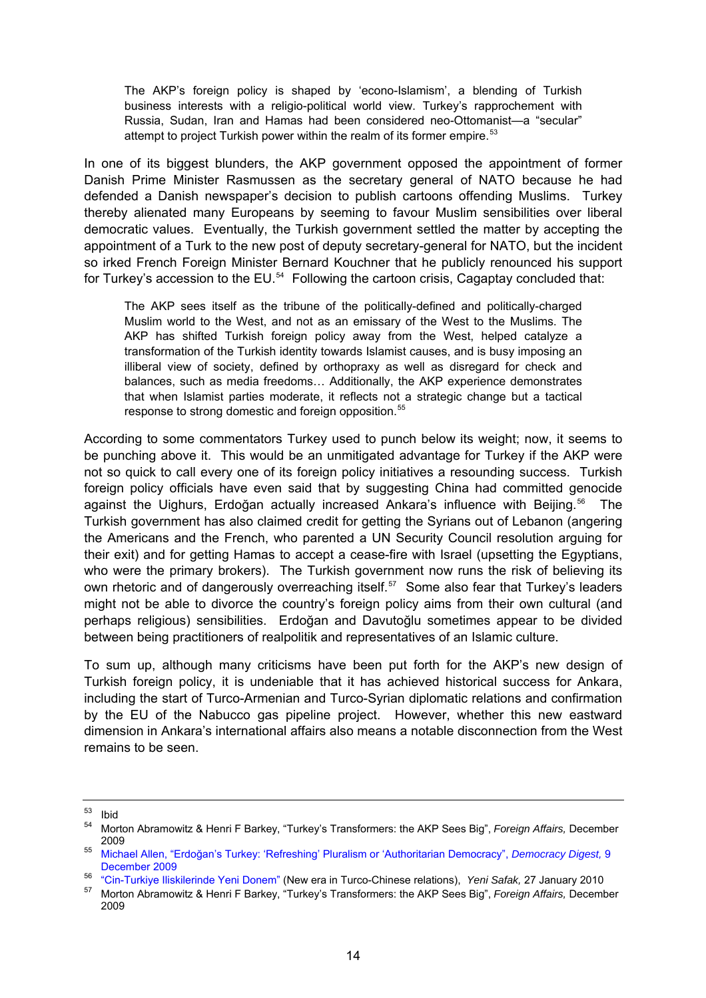The AKP's foreign policy is shaped by 'econo-Islamism', a blending of Turkish business interests with a religio-political world view. Turkey's rapprochement with Russia, Sudan, Iran and Hamas had been considered neo-Ottomanist—a "secular" attempt to project Turkish power within the realm of its former empire.<sup>[53](#page-13-0)</sup>

In one of its biggest blunders, the AKP government opposed the appointment of former Danish Prime Minister Rasmussen as the secretary general of NATO because he had defended a Danish newspaper's decision to publish cartoons offending Muslims. Turkey thereby alienated many Europeans by seeming to favour Muslim sensibilities over liberal democratic values. Eventually, the Turkish government settled the matter by accepting the appointment of a Turk to the new post of deputy secretary-general for NATO, but the incident so irked French Foreign Minister Bernard Kouchner that he publicly renounced his support for Turkey's accession to the EU.<sup>[54](#page-13-1)</sup> Following the cartoon crisis, Cagaptay concluded that:

The AKP sees itself as the tribune of the politically-defined and politically-charged Muslim world to the West, and not as an emissary of the West to the Muslims. The AKP has shifted Turkish foreign policy away from the West, helped catalyze a transformation of the Turkish identity towards Islamist causes, and is busy imposing an illiberal view of society, defined by orthopraxy as well as disregard for check and balances, such as media freedoms… Additionally, the AKP experience demonstrates that when Islamist parties moderate, it reflects not a strategic change but a tactical response to strong domestic and foreign opposition.<sup>[55](#page-13-2)</sup>

According to some commentators Turkey used to punch below its weight; now, it seems to be punching above it. This would be an unmitigated advantage for Turkey if the AKP were not so quick to call every one of its foreign policy initiatives a resounding success. Turkish foreign policy officials have even said that by suggesting China had committed genocide against the Uighurs, Erdoğan actually increased Ankara's influence with Beijing.<sup>[56](#page-13-3)</sup> The Turkish government has also claimed credit for getting the Syrians out of Lebanon (angering the Americans and the French, who parented a UN Security Council resolution arguing for their exit) and for getting Hamas to accept a cease-fire with Israel (upsetting the Egyptians, who were the primary brokers). The Turkish government now runs the risk of believing its own rhetoric and of dangerously overreaching itself.<sup>[57](#page-13-4)</sup> Some also fear that Turkey's leaders might not be able to divorce the country's foreign policy aims from their own cultural (and perhaps religious) sensibilities. Erdoğan and Davutoğlu sometimes appear to be divided between being practitioners of realpolitik and representatives of an Islamic culture.

To sum up, although many criticisms have been put forth for the AKP's new design of Turkish foreign policy, it is undeniable that it has achieved historical success for Ankara, including the start of Turco-Armenian and Turco-Syrian diplomatic relations and confirmation by the EU of the Nabucco gas pipeline project. However, whether this new eastward dimension in Ankara's international affairs also means a notable disconnection from the West remains to be seen.

<span id="page-13-0"></span> $\begin{bmatrix} 53 \\ 54 \end{bmatrix}$  Ibid

<sup>54</sup> Morton Abramowitz & Henri F Barkey, "Turkey's Transformers: the AKP Sees Big", *Foreign Affairs,* December

<span id="page-13-2"></span><span id="page-13-1"></span><sup>2009 55</sup> Michael Allen, "Erdoğ[an's Turkey: 'Refreshing' Pluralism or 'Authoritarian Democracy",](http://www.demdigest.net/blog/regions/erdogans-turkey-refreshing-pluralism-or-authoritarian-democracy.html) *Democracy Digest,*<sup>9</sup> [December 2009](http://www.demdigest.net/blog/regions/erdogans-turkey-refreshing-pluralism-or-authoritarian-democracy.html)

<span id="page-13-4"></span><span id="page-13-3"></span><sup>&</sup>lt;sup>56</sup> ["Cin-Turkiye Iliskilerinde Yeni Donem"](http://yenisafak.com.tr/Politika/?t=27.01.2010&c=2&i=238113) (New era in Turco-Chinese relations), Yeni Safak, 27 January 2010<br><sup>57</sup> Morton Abramowitz & Henri F Barkey, "Turkey's Transformers: the AKP Sees Big", *Foreign Affairs*, December

<sup>2009</sup>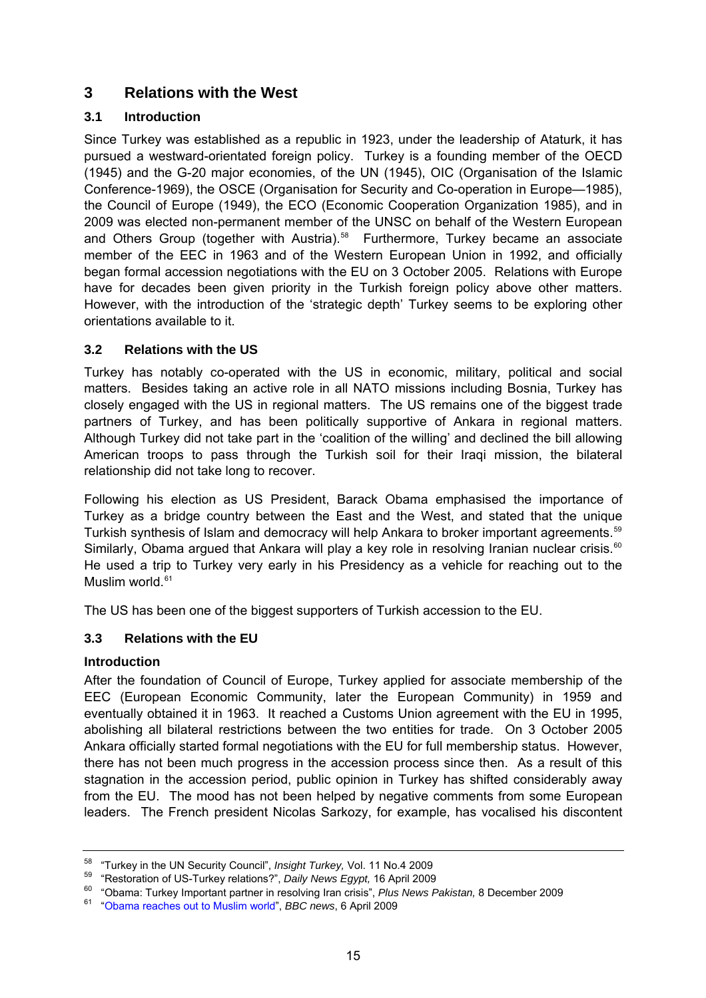# <span id="page-14-0"></span>**3 Relations with the West**

## **3.1 Introduction**

Since Turkey was established as a republic in 1923, under the leadership of Ataturk, it has pursued a westward-orientated foreign policy. Turkey is a founding member of the OECD (1945) and the G-20 major economies, of the UN (1945), OIC (Organisation of the Islamic Conference-1969), the OSCE (Organisation for Security and Co-operation in Europe—1985), the Council of Europe (1949), the ECO (Economic Cooperation Organization 1985), and in 2009 was elected non-permanent member of the UNSC on behalf of the Western European and Others Group (together with Austria).<sup>[58](#page-14-1)</sup> Furthermore, Turkey became an associate member of the EEC in 1963 and of the Western European Union in 1992, and officially began formal accession negotiations with the EU on 3 October 2005. Relations with Europe have for decades been given priority in the Turkish foreign policy above other matters. However, with the introduction of the 'strategic depth' Turkey seems to be exploring other orientations available to it.

### **3.2 Relations with the US**

Turkey has notably co-operated with the US in economic, military, political and social matters. Besides taking an active role in all NATO missions including Bosnia, Turkey has closely engaged with the US in regional matters. The US remains one of the biggest trade partners of Turkey, and has been politically supportive of Ankara in regional matters. Although Turkey did not take part in the 'coalition of the willing' and declined the bill allowing American troops to pass through the Turkish soil for their Iraqi mission, the bilateral relationship did not take long to recover.

Following his election as US President, Barack Obama emphasised the importance of Turkey as a bridge country between the East and the West, and stated that the unique Turkish synthesis of Islam and democracy will help Ankara to broker important agreements.<sup>[59](#page-14-2)</sup> Similarly, Obama argued that Ankara will play a key role in resolving Iranian nuclear crisis.<sup>[60](#page-14-3)</sup> He used a trip to Turkey very early in his Presidency as a vehicle for reaching out to the Muslim world.<sup>[61](#page-14-4)</sup>

The US has been one of the biggest supporters of Turkish accession to the EU.

# **3.3 Relations with the EU**

### **Introduction**

After the foundation of Council of Europe, Turkey applied for associate membership of the EEC (European Economic Community, later the European Community) in 1959 and eventually obtained it in 1963. It reached a Customs Union agreement with the EU in 1995, abolishing all bilateral restrictions between the two entities for trade. On 3 October 2005 Ankara officially started formal negotiations with the EU for full membership status. However, there has not been much progress in the accession process since then. As a result of this stagnation in the accession period, public opinion in Turkey has shifted considerably away from the EU. The mood has not been helped by negative comments from some European leaders. The French president Nicolas Sarkozy, for example, has vocalised his discontent

<span id="page-14-3"></span><span id="page-14-2"></span>

<span id="page-14-1"></span><sup>&</sup>lt;sup>58</sup> "Turkey in the UN Security Council", *Insight Turkey*, Vol. 11 No.4 2009<br>
"Restoration of US-Turkey relations?", *Daily News Egypt*, 16 April 2009<br>
"Obama: Turkey Important partner in resolving Iran crisis", *Plus Ne* 

<span id="page-14-4"></span>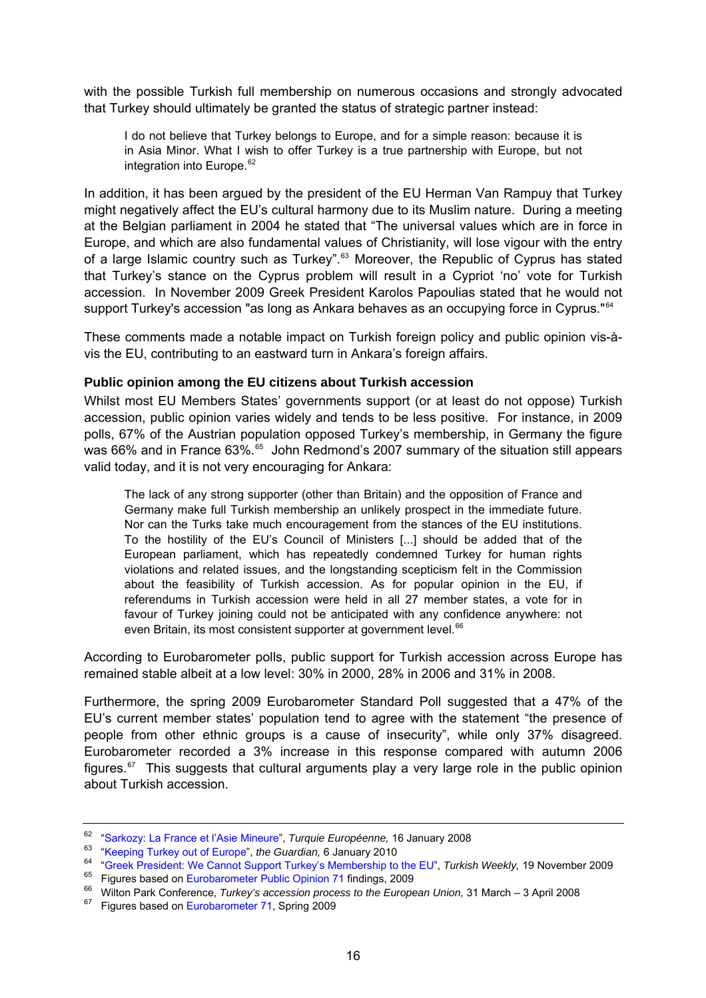<span id="page-15-0"></span>with the possible Turkish full membership on numerous occasions and strongly advocated that Turkey should ultimately be granted the status of strategic partner instead:

I do not believe that Turkey belongs to Europe, and for a simple reason: because it is in Asia Minor. What I wish to offer Turkey is a true partnership with Europe, but not integration into Europe.<sup>[62](#page-15-1)</sup>

In addition, it has been argued by the president of the EU Herman Van Rampuy that Turkey might negatively affect the EU's cultural harmony due to its Muslim nature. During a meeting at the Belgian parliament in 2004 he stated that "The universal values which are in force in Europe, and which are also fundamental values of Christianity, will lose vigour with the entry of a large Islamic country such as Turkey".<sup>[63](#page-15-2)</sup> Moreover, the Republic of Cyprus has stated that Turkey's stance on the Cyprus problem will result in a Cypriot 'no' vote for Turkish accession. In November 2009 Greek President Karolos Papoulias stated that he would not support Turkey's accession "as long as Ankara behaves as an occupying force in Cyprus."<sup>[64](#page-15-3)</sup>

These comments made a notable impact on Turkish foreign policy and public opinion vis-àvis the EU, contributing to an eastward turn in Ankara's foreign affairs.

#### **Public opinion among the EU citizens about Turkish accession**

Whilst most EU Members States' governments support (or at least do not oppose) Turkish accession, public opinion varies widely and tends to be less positive. For instance, in 2009 polls, 67% of the Austrian population opposed Turkey's membership, in Germany the figure was 66% and in France 63%.<sup>[65](#page-15-4)</sup> John Redmond's 2007 summary of the situation still appears valid today, and it is not very encouraging for Ankara:

The lack of any strong supporter (other than Britain) and the opposition of France and Germany make full Turkish membership an unlikely prospect in the immediate future. Nor can the Turks take much encouragement from the stances of the EU institutions. To the hostility of the EU's Council of Ministers [...] should be added that of the European parliament, which has repeatedly condemned Turkey for human rights violations and related issues, and the longstanding scepticism felt in the Commission about the feasibility of Turkish accession. As for popular opinion in the EU, if referendums in Turkish accession were held in all 27 member states, a vote for in favour of Turkey joining could not be anticipated with any confidence anywhere: not even Britain, its most consistent supporter at government level.<sup>[66](#page-15-5)</sup>

According to Eurobarometer polls, public support for Turkish accession across Europe has remained stable albeit at a low level: 30% in 2000, 28% in 2006 and 31% in 2008.

Furthermore, the spring 2009 Eurobarometer Standard Poll suggested that a 47% of the EU's current member states' population tend to agree with the statement "the presence of people from other ethnic groups is a cause of insecurity", while only 37% disagreed. Eurobarometer recorded a 3% increase in this response compared with autumn 2006 figures.<sup>[67](#page-15-6)</sup> This suggests that cultural arguments play a very large role in the public opinion about Turkish accession.

<span id="page-15-3"></span><span id="page-15-2"></span>

<span id="page-15-1"></span><sup>&</sup>lt;sup>62</sup> ["Sarkozy: La France et l'Asie Mineure](http://turquieeuropeenne.eu/article2371.html)", *Turquie Européenne*, 16 January 2008<br><sup>63</sup> ["Keeping Turkey out of Europe"](http://www.guardian.co.uk/commentisfree/2010/jan/06/turkey-european-union-membership), *the Guardian*, 6 January 2010<br><sup>64</sup> "Greek President: We Cannot Support Turkey's Membership to the EU

<span id="page-15-4"></span>

<span id="page-15-5"></span>

<span id="page-15-6"></span>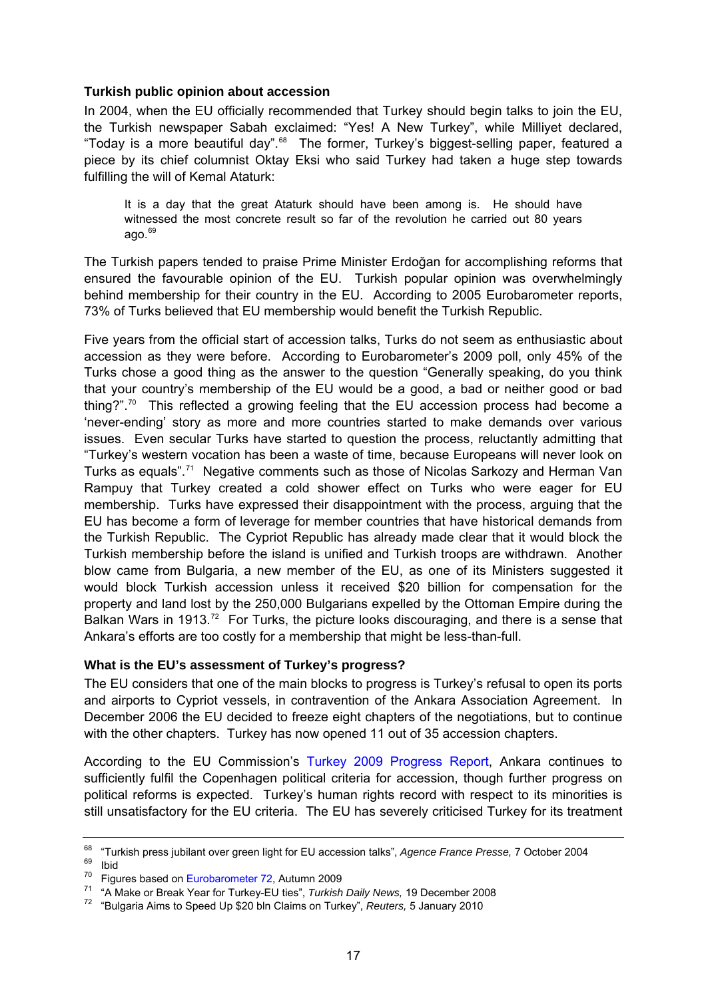#### <span id="page-16-0"></span>**Turkish public opinion about accession**

In 2004, when the EU officially recommended that Turkey should begin talks to join the EU, the Turkish newspaper Sabah exclaimed: "Yes! A New Turkey", while Milliyet declared, "Today is a more beautiful day".<sup>[68](#page-16-1)</sup> The former, Turkey's biggest-selling paper, featured a piece by its chief columnist Oktay Eksi who said Turkey had taken a huge step towards fulfilling the will of Kemal Ataturk:

It is a day that the great Ataturk should have been among is. He should have witnessed the most concrete result so far of the revolution he carried out 80 years ago. $69$ 

The Turkish papers tended to praise Prime Minister Erdoğan for accomplishing reforms that ensured the favourable opinion of the EU. Turkish popular opinion was overwhelmingly behind membership for their country in the EU. According to 2005 Eurobarometer reports, 73% of Turks believed that EU membership would benefit the Turkish Republic.

Five years from the official start of accession talks, Turks do not seem as enthusiastic about accession as they were before. According to Eurobarometer's 2009 poll, only 45% of the Turks chose a good thing as the answer to the question "Generally speaking, do you think that your country's membership of the EU would be a good, a bad or neither good or bad thing?". $70$  This reflected a growing feeling that the EU accession process had become a 'never-ending' story as more and more countries started to make demands over various issues. Even secular Turks have started to question the process, reluctantly admitting that "Turkey's western vocation has been a waste of time, because Europeans will never look on Turks as equals".[71](#page-16-4) Negative comments such as those of Nicolas Sarkozy and Herman Van Rampuy that Turkey created a cold shower effect on Turks who were eager for EU membership. Turks have expressed their disappointment with the process, arguing that the EU has become a form of leverage for member countries that have historical demands from the Turkish Republic. The Cypriot Republic has already made clear that it would block the Turkish membership before the island is unified and Turkish troops are withdrawn. Another blow came from Bulgaria, a new member of the EU, as one of its Ministers suggested it would block Turkish accession unless it received \$20 billion for compensation for the property and land lost by the 250,000 Bulgarians expelled by the Ottoman Empire during the Balkan Wars in 1913.<sup>[72](#page-16-5)</sup> For Turks, the picture looks discouraging, and there is a sense that Ankara's efforts are too costly for a membership that might be less-than-full.

#### **What is the EU's assessment of Turkey's progress?**

The EU considers that one of the main blocks to progress is Turkey's refusal to open its ports and airports to Cypriot vessels, in contravention of the Ankara Association Agreement. In December 2006 the EU decided to freeze eight chapters of the negotiations, but to continue with the other chapters. Turkey has now opened 11 out of 35 accession chapters.

According to the EU Commission's [Turkey 2009 Progress Report,](http://www.ihb.gov.tr/english/turkey_progress_report_2009.pdf) Ankara continues to sufficiently fulfil the Copenhagen political criteria for accession, though further progress on political reforms is expected. Turkey's human rights record with respect to its minorities is still unsatisfactory for the EU criteria. The EU has severely criticised Turkey for its treatment

<span id="page-16-2"></span><span id="page-16-1"></span><sup>&</sup>lt;sup>68</sup> "Turkish press jubilant over green light for EU accession talks", Agence France Presse, 7 October 2004<br><sup>69</sup> Ibid<br><sup>70</sup> Fiaures based on Eurobarometer 72. Autumn 2009

<span id="page-16-3"></span>

<span id="page-16-4"></span><sup>&</sup>lt;sup>71</sup> "A Make or Break Year for Turkey-EU ties", Turkish Daily News, 19 December 2008<br><sup>72</sup> "Bulgaria Aims to Speed Up \$20 bln Claims on Turkey", Reuters, 5 January 2010

<span id="page-16-5"></span>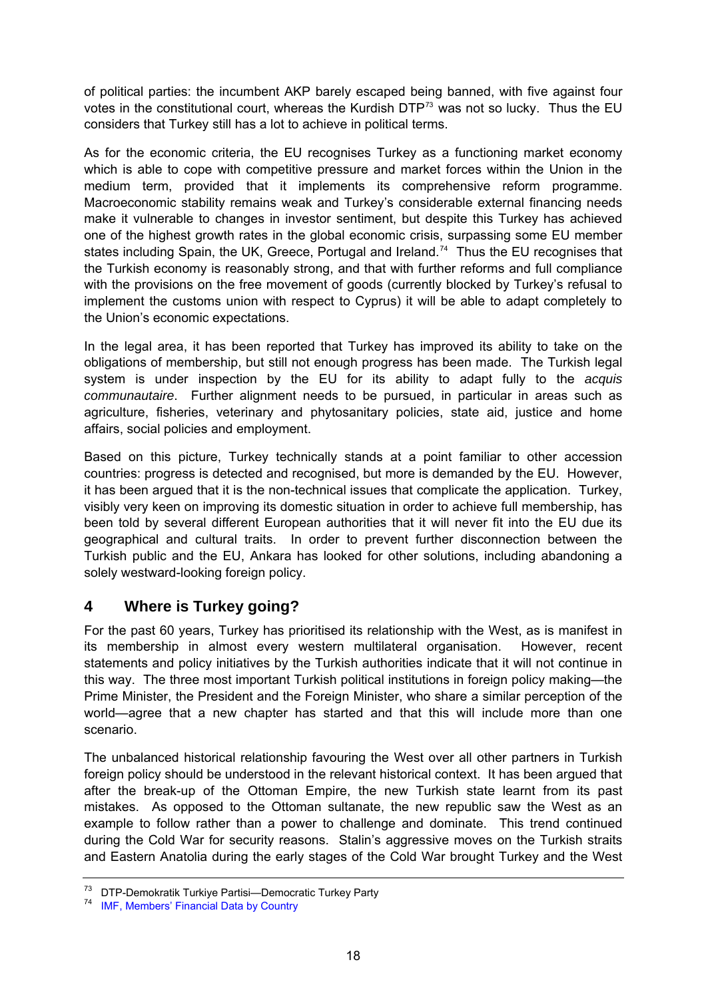<span id="page-17-0"></span>of political parties: the incumbent AKP barely escaped being banned, with five against four votes in the constitutional court, whereas the Kurdish  $DTP^{73}$  $DTP^{73}$  $DTP^{73}$  was not so lucky. Thus the EU considers that Turkey still has a lot to achieve in political terms.

As for the economic criteria, the EU recognises Turkey as a functioning market economy which is able to cope with competitive pressure and market forces within the Union in the medium term, provided that it implements its comprehensive reform programme. Macroeconomic stability remains weak and Turkey's considerable external financing needs make it vulnerable to changes in investor sentiment, but despite this Turkey has achieved one of the highest growth rates in the global economic crisis, surpassing some EU member states including Spain, the UK, Greece, Portugal and Ireland.<sup>[74](#page-17-2)</sup> Thus the EU recognises that the Turkish economy is reasonably strong, and that with further reforms and full compliance with the provisions on the free movement of goods (currently blocked by Turkey's refusal to implement the customs union with respect to Cyprus) it will be able to adapt completely to the Union's economic expectations.

In the legal area, it has been reported that Turkey has improved its ability to take on the obligations of membership, but still not enough progress has been made. The Turkish legal system is under inspection by the EU for its ability to adapt fully to the *acquis communautaire*. Further alignment needs to be pursued, in particular in areas such as agriculture, fisheries, veterinary and phytosanitary policies, state aid, justice and home affairs, social policies and employment.

Based on this picture, Turkey technically stands at a point familiar to other accession countries: progress is detected and recognised, but more is demanded by the EU. However, it has been argued that it is the non-technical issues that complicate the application. Turkey, visibly very keen on improving its domestic situation in order to achieve full membership, has been told by several different European authorities that it will never fit into the EU due its geographical and cultural traits. In order to prevent further disconnection between the Turkish public and the EU, Ankara has looked for other solutions, including abandoning a solely westward-looking foreign policy.

# **4 Where is Turkey going?**

For the past 60 years, Turkey has prioritised its relationship with the West, as is manifest in its membership in almost every western multilateral organisation. However, recent statements and policy initiatives by the Turkish authorities indicate that it will not continue in this way. The three most important Turkish political institutions in foreign policy making—the Prime Minister, the President and the Foreign Minister, who share a similar perception of the world—agree that a new chapter has started and that this will include more than one scenario.

The unbalanced historical relationship favouring the West over all other partners in Turkish foreign policy should be understood in the relevant historical context. It has been argued that after the break-up of the Ottoman Empire, the new Turkish state learnt from its past mistakes. As opposed to the Ottoman sultanate, the new republic saw the West as an example to follow rather than a power to challenge and dominate. This trend continued during the Cold War for security reasons. Stalin's aggressive moves on the Turkish straits and Eastern Anatolia during the early stages of the Cold War brought Turkey and the West

<span id="page-17-1"></span><sup>73</sup> DTP-Demokratik Turkiye Partisi—Democratic Turkey Party

<span id="page-17-2"></span><sup>74</sup> [IMF, Members' Financial Data by Country](http://www.imf.org/external/np/fin/tad/exfin1.aspx)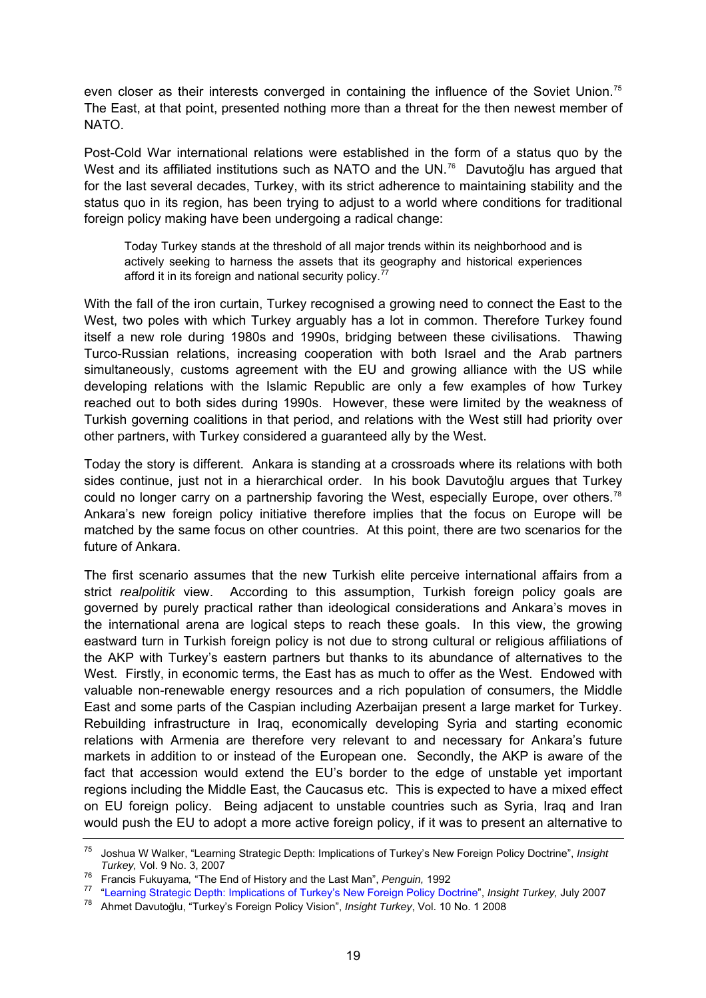even closer as their interests converged in containing the influence of the Soviet Union.<sup>[75](#page-18-0)</sup> The East, at that point, presented nothing more than a threat for the then newest member of NATO.

Post-Cold War international relations were established in the form of a status quo by the West and its affiliated institutions such as NATO and the UN.<sup>[76](#page-18-1)</sup> Davutoğlu has argued that for the last several decades, Turkey, with its strict adherence to maintaining stability and the status quo in its region, has been trying to adjust to a world where conditions for traditional foreign policy making have been undergoing a radical change:

Today Turkey stands at the threshold of all major trends within its neighborhood and is actively seeking to harness the assets that its geography and historical experiences afford it in its foreign and national security policy.<sup>[77](#page-18-2)</sup>

With the fall of the iron curtain, Turkey recognised a growing need to connect the East to the West, two poles with which Turkey arguably has a lot in common. Therefore Turkey found itself a new role during 1980s and 1990s, bridging between these civilisations. Thawing Turco-Russian relations, increasing cooperation with both Israel and the Arab partners simultaneously, customs agreement with the EU and growing alliance with the US while developing relations with the Islamic Republic are only a few examples of how Turkey reached out to both sides during 1990s. However, these were limited by the weakness of Turkish governing coalitions in that period, and relations with the West still had priority over other partners, with Turkey considered a guaranteed ally by the West.

Today the story is different. Ankara is standing at a crossroads where its relations with both sides continue, just not in a hierarchical order. In his book Davutoğlu argues that Turkey could no longer carry on a partnership favoring the West, especially Europe, over others.<sup>[78](#page-18-3)</sup> Ankara's new foreign policy initiative therefore implies that the focus on Europe will be matched by the same focus on other countries. At this point, there are two scenarios for the future of Ankara.

The first scenario assumes that the new Turkish elite perceive international affairs from a strict *realpolitik* view. According to this assumption, Turkish foreign policy goals are governed by purely practical rather than ideological considerations and Ankara's moves in the international arena are logical steps to reach these goals. In this view, the growing eastward turn in Turkish foreign policy is not due to strong cultural or religious affiliations of the AKP with Turkey's eastern partners but thanks to its abundance of alternatives to the West. Firstly, in economic terms, the East has as much to offer as the West. Endowed with valuable non-renewable energy resources and a rich population of consumers, the Middle East and some parts of the Caspian including Azerbaijan present a large market for Turkey. Rebuilding infrastructure in Iraq, economically developing Syria and starting economic relations with Armenia are therefore very relevant to and necessary for Ankara's future markets in addition to or instead of the European one. Secondly, the AKP is aware of the fact that accession would extend the EU's border to the edge of unstable yet important regions including the Middle East, the Caucasus etc. This is expected to have a mixed effect on EU foreign policy. Being adjacent to unstable countries such as Syria, Iraq and Iran would push the EU to adopt a more active foreign policy, if it was to present an alternative to

<span id="page-18-0"></span><sup>75</sup> Joshua W Walker, "Learning Strategic Depth: Implications of Turkey's New Foreign Policy Doctrine", *Insight* 

<span id="page-18-2"></span><span id="page-18-1"></span>Tanus), Vol. 5 No. 6, 2007<br>Trancis Fukuyama, "The End of History and the Last Man", *Penguin*, 1992<br>Trancis Fukuyama, "The End of History and the Last Man", *Penguin*, 1992<br>The Learning Strategic Depth: Implications of Tur

<span id="page-18-3"></span>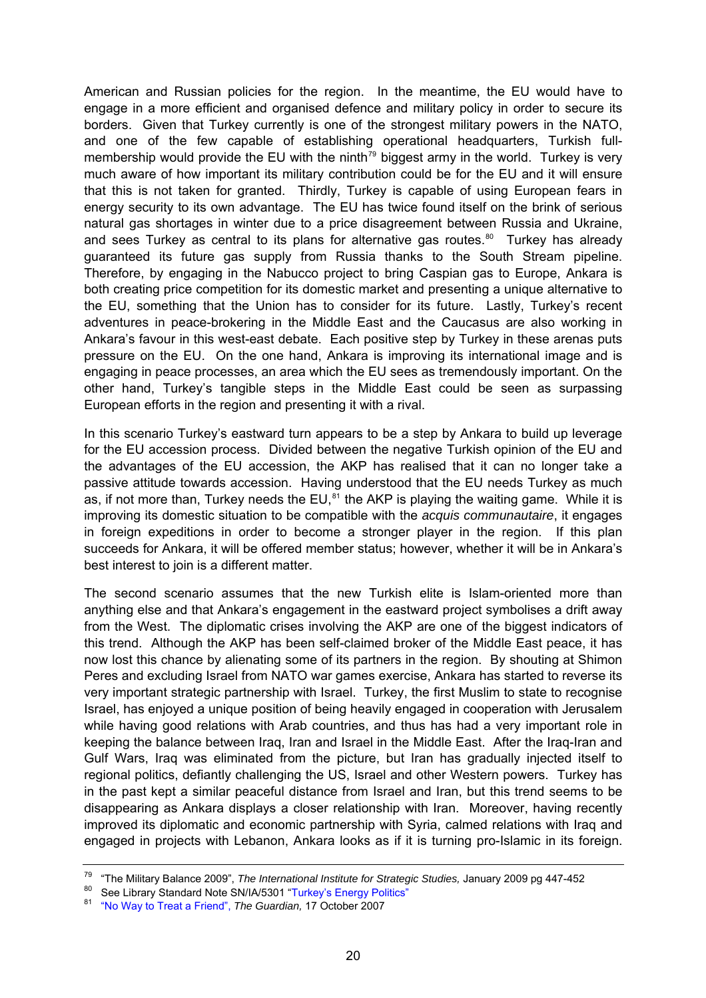American and Russian policies for the region. In the meantime, the EU would have to engage in a more efficient and organised defence and military policy in order to secure its borders. Given that Turkey currently is one of the strongest military powers in the NATO, and one of the few capable of establishing operational headquarters, Turkish full-membership would provide the EU with the ninth<sup>[79](#page-19-0)</sup> biggest army in the world. Turkey is very much aware of how important its military contribution could be for the EU and it will ensure that this is not taken for granted. Thirdly, Turkey is capable of using European fears in energy security to its own advantage. The EU has twice found itself on the brink of serious natural gas shortages in winter due to a price disagreement between Russia and Ukraine, and sees Turkey as central to its plans for alternative gas routes.<sup>[80](#page-19-1)</sup> Turkey has already guaranteed its future gas supply from Russia thanks to the South Stream pipeline. Therefore, by engaging in the Nabucco project to bring Caspian gas to Europe, Ankara is both creating price competition for its domestic market and presenting a unique alternative to the EU, something that the Union has to consider for its future. Lastly, Turkey's recent adventures in peace-brokering in the Middle East and the Caucasus are also working in Ankara's favour in this west-east debate. Each positive step by Turkey in these arenas puts pressure on the EU. On the one hand, Ankara is improving its international image and is engaging in peace processes, an area which the EU sees as tremendously important. On the other hand, Turkey's tangible steps in the Middle East could be seen as surpassing European efforts in the region and presenting it with a rival.

In this scenario Turkey's eastward turn appears to be a step by Ankara to build up leverage for the EU accession process. Divided between the negative Turkish opinion of the EU and the advantages of the EU accession, the AKP has realised that it can no longer take a passive attitude towards accession. Having understood that the EU needs Turkey as much as, if not more than, Turkey needs the EU, $^{81}$  $^{81}$  $^{81}$  the AKP is playing the waiting game. While it is improving its domestic situation to be compatible with the *acquis communautaire*, it engages in foreign expeditions in order to become a stronger player in the region. If this plan succeeds for Ankara, it will be offered member status; however, whether it will be in Ankara's best interest to join is a different matter.

The second scenario assumes that the new Turkish elite is Islam-oriented more than anything else and that Ankara's engagement in the eastward project symbolises a drift away from the West. The diplomatic crises involving the AKP are one of the biggest indicators of this trend. Although the AKP has been self-claimed broker of the Middle East peace, it has now lost this chance by alienating some of its partners in the region. By shouting at Shimon Peres and excluding Israel from NATO war games exercise, Ankara has started to reverse its very important strategic partnership with Israel. Turkey, the first Muslim to state to recognise Israel, has enjoyed a unique position of being heavily engaged in cooperation with Jerusalem while having good relations with Arab countries, and thus has had a very important role in keeping the balance between Iraq, Iran and Israel in the Middle East. After the Iraq-Iran and Gulf Wars, Iraq was eliminated from the picture, but Iran has gradually injected itself to regional politics, defiantly challenging the US, Israel and other Western powers. Turkey has in the past kept a similar peaceful distance from Israel and Iran, but this trend seems to be disappearing as Ankara displays a closer relationship with Iran. Moreover, having recently improved its diplomatic and economic partnership with Syria, calmed relations with Iraq and engaged in projects with Lebanon, Ankara looks as if it is turning pro-Islamic in its foreign.

<span id="page-19-0"></span><sup>&</sup>lt;sup>79</sup> "The Military Balance 2009", *The International Institute for Strategic Studies, January 2009 pg 447-452*<br><sup>80</sup> See Library Standard Note SN/IA/5301 "[Turkey's Energy Politics"](http://10.160.3.10:81/PIMS/Static%20Files/Extended%20File%20Scan%20Files/LIBRARY_OTHER_PAPERS/STANDARD_NOTE/SNIA-05301.pdf)

<span id="page-19-2"></span><span id="page-19-1"></span><sup>81</sup> ["No Way to Treat a Friend",](http://www.guardian.co.uk/commentisfree/2007/oct/17/comment.eu) *The Guardian,* 17 October 2007